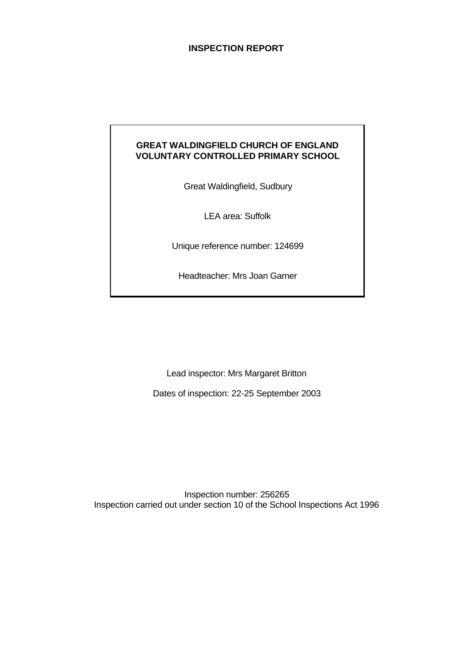## **INSPECTION REPORT**

## **GREAT WALDINGFIELD CHURCH OF ENGLAND VOLUNTARY CONTROLLED PRIMARY SCHOOL**

Great Waldingfield, Sudbury

LEA area: Suffolk

Unique reference number: 124699

Headteacher: Mrs Joan Garner

Lead inspector: Mrs Margaret Britton

Dates of inspection: 22-25 September 2003

Inspection number: 256265 Inspection carried out under section 10 of the School Inspections Act 1996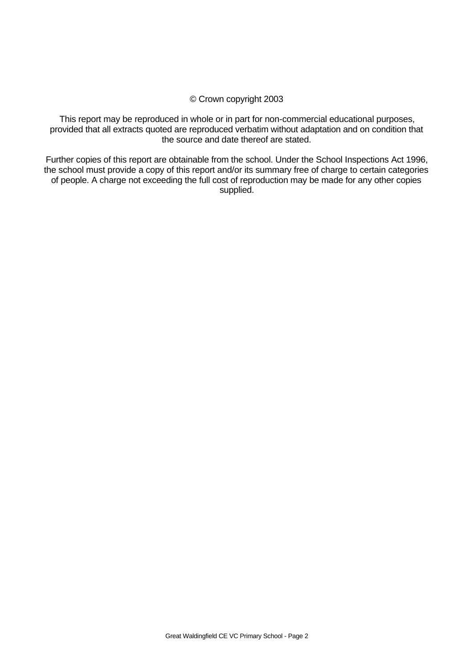#### © Crown copyright 2003

This report may be reproduced in whole or in part for non-commercial educational purposes, provided that all extracts quoted are reproduced verbatim without adaptation and on condition that the source and date thereof are stated.

Further copies of this report are obtainable from the school. Under the School Inspections Act 1996, the school must provide a copy of this report and/or its summary free of charge to certain categories of people. A charge not exceeding the full cost of reproduction may be made for any other copies supplied.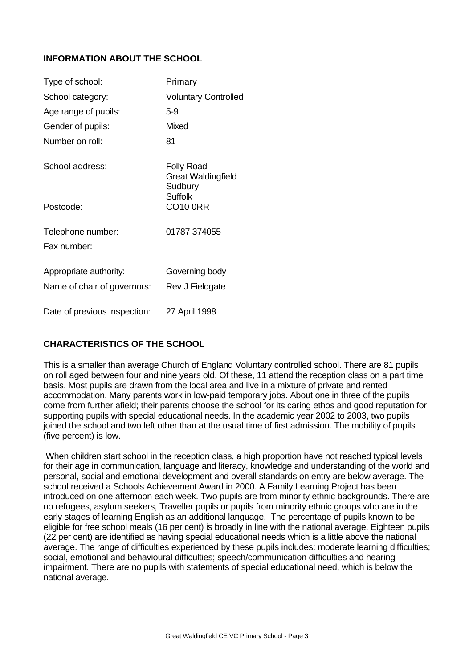## **INFORMATION ABOUT THE SCHOOL**

| Type of school:              | Primary                                                                     |
|------------------------------|-----------------------------------------------------------------------------|
| School category:             | <b>Voluntary Controlled</b>                                                 |
| Age range of pupils:         | $5-9$                                                                       |
| Gender of pupils:            | Mixed                                                                       |
| Number on roll:              | 81                                                                          |
| School address:              | <b>Folly Road</b><br><b>Great Waldingfield</b><br>Sudbury<br><b>Suffolk</b> |
| Postcode:                    | <b>CO10 0RR</b>                                                             |
| Telephone number:            | 01787 374055                                                                |
| Fax number:                  |                                                                             |
| Appropriate authority:       | Governing body                                                              |
| Name of chair of governors:  | Rev J Fieldgate                                                             |
| Date of previous inspection: | 27 April 1998                                                               |

## **CHARACTERISTICS OF THE SCHOOL**

This is a smaller than average Church of England Voluntary controlled school. There are 81 pupils on roll aged between four and nine years old. Of these, 11 attend the reception class on a part time basis. Most pupils are drawn from the local area and live in a mixture of private and rented accommodation. Many parents work in low-paid temporary jobs. About one in three of the pupils come from further afield; their parents choose the school for its caring ethos and good reputation for supporting pupils with special educational needs. In the academic year 2002 to 2003, two pupils joined the school and two left other than at the usual time of first admission. The mobility of pupils (five percent) is low.

When children start school in the reception class, a high proportion have not reached typical levels for their age in communication, language and literacy, knowledge and understanding of the world and personal, social and emotional development and overall standards on entry are below average. The school received a Schools Achievement Award in 2000. A Family Learning Project has been introduced on one afternoon each week. Two pupils are from minority ethnic backgrounds. There are no refugees, asylum seekers, Traveller pupils or pupils from minority ethnic groups who are in the early stages of learning English as an additional language. The percentage of pupils known to be eligible for free school meals (16 per cent) is broadly in line with the national average. Eighteen pupils (22 per cent) are identified as having special educational needs which is a little above the national average. The range of difficulties experienced by these pupils includes: moderate learning difficulties; social, emotional and behavioural difficulties; speech/communication difficulties and hearing impairment. There are no pupils with statements of special educational need, which is below the national average.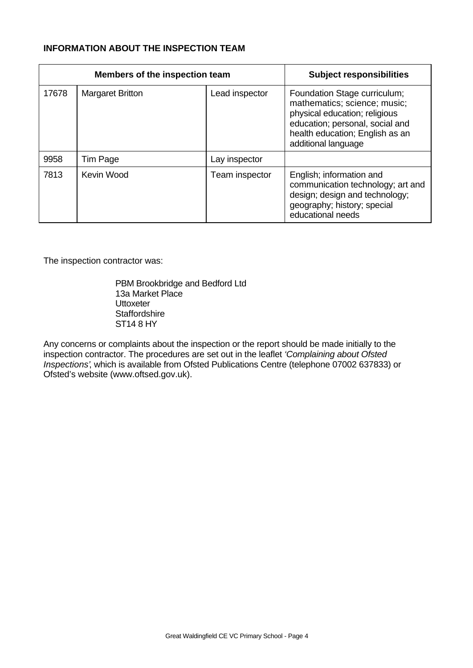## **INFORMATION ABOUT THE INSPECTION TEAM**

|       | <b>Members of the inspection team</b> | <b>Subject responsibilities</b> |                                                                                                                                                                                            |
|-------|---------------------------------------|---------------------------------|--------------------------------------------------------------------------------------------------------------------------------------------------------------------------------------------|
| 17678 | <b>Margaret Britton</b>               | Lead inspector                  | Foundation Stage curriculum;<br>mathematics; science; music;<br>physical education; religious<br>education; personal, social and<br>health education; English as an<br>additional language |
| 9958  | Tim Page                              | Lay inspector                   |                                                                                                                                                                                            |
| 7813  | Kevin Wood                            | Team inspector                  | English; information and<br>communication technology; art and<br>design; design and technology;<br>geography; history; special<br>educational needs                                        |

The inspection contractor was:

PBM Brookbridge and Bedford Ltd 13a Market Place **Uttoxeter Staffordshire** ST14 8 HY

Any concerns or complaints about the inspection or the report should be made initially to the inspection contractor. The procedures are set out in the leaflet *'Complaining about Ofsted Inspections'*, which is available from Ofsted Publications Centre (telephone 07002 637833) or Ofsted's website (www.oftsed.gov.uk).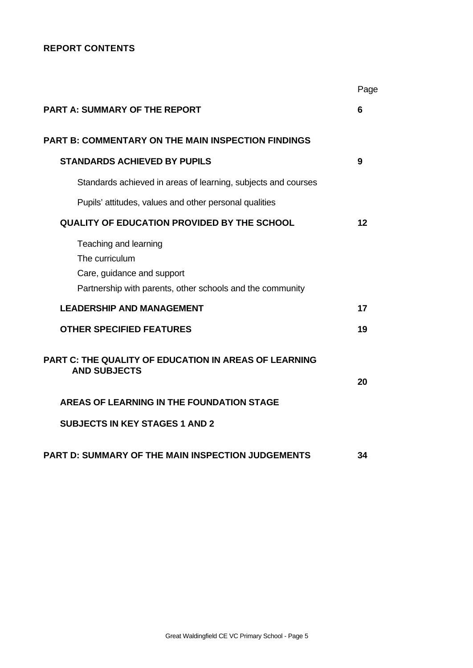## **REPORT CONTENTS**

|                                                                                                                                    | Page |
|------------------------------------------------------------------------------------------------------------------------------------|------|
| <b>PART A: SUMMARY OF THE REPORT</b>                                                                                               | 6    |
| <b>PART B: COMMENTARY ON THE MAIN INSPECTION FINDINGS</b>                                                                          |      |
| <b>STANDARDS ACHIEVED BY PUPILS</b>                                                                                                | 9    |
| Standards achieved in areas of learning, subjects and courses                                                                      |      |
| Pupils' attitudes, values and other personal qualities                                                                             |      |
| <b>QUALITY OF EDUCATION PROVIDED BY THE SCHOOL</b>                                                                                 | 12   |
| Teaching and learning<br>The curriculum<br>Care, guidance and support<br>Partnership with parents, other schools and the community |      |
| <b>LEADERSHIP AND MANAGEMENT</b>                                                                                                   | 17   |
| <b>OTHER SPECIFIED FEATURES</b>                                                                                                    | 19   |
| <b>PART C: THE QUALITY OF EDUCATION IN AREAS OF LEARNING</b><br><b>AND SUBJECTS</b>                                                | 20   |
| AREAS OF LEARNING IN THE FOUNDATION STAGE                                                                                          |      |
| <b>SUBJECTS IN KEY STAGES 1 AND 2</b>                                                                                              |      |
| <b>PART D: SUMMARY OF THE MAIN INSPECTION JUDGEMENTS</b>                                                                           | 34   |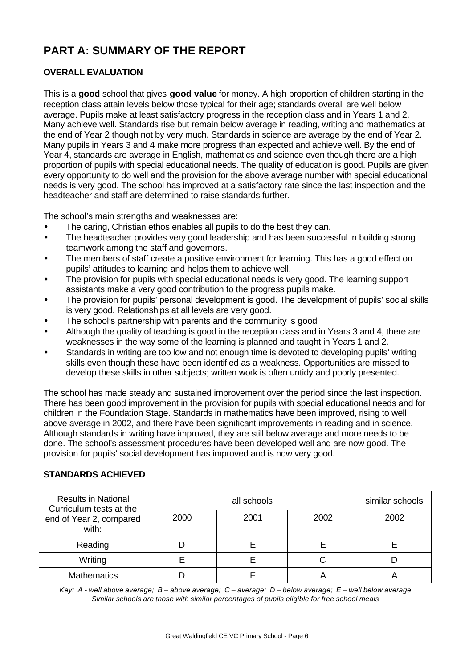# **PART A: SUMMARY OF THE REPORT**

# **OVERALL EVALUATION**

This is a **good** school that gives **good value** for money. A high proportion of children starting in the reception class attain levels below those typical for their age; standards overall are well below average. Pupils make at least satisfactory progress in the reception class and in Years 1 and 2. Many achieve well. Standards rise but remain below average in reading, writing and mathematics at the end of Year 2 though not by very much. Standards in science are average by the end of Year 2. Many pupils in Years 3 and 4 make more progress than expected and achieve well. By the end of Year 4, standards are average in English, mathematics and science even though there are a high proportion of pupils with special educational needs. The quality of education is good. Pupils are given every opportunity to do well and the provision for the above average number with special educational needs is very good. The school has improved at a satisfactory rate since the last inspection and the headteacher and staff are determined to raise standards further.

The school's main strengths and weaknesses are:

- The caring, Christian ethos enables all pupils to do the best they can.
- The headteacher provides very good leadership and has been successful in building strong teamwork among the staff and governors.
- The members of staff create a positive environment for learning. This has a good effect on pupils' attitudes to learning and helps them to achieve well.
- The provision for pupils with special educational needs is very good. The learning support assistants make a very good contribution to the progress pupils make.
- The provision for pupils' personal development is good. The development of pupils' social skills is very good. Relationships at all levels are very good.
- The school's partnership with parents and the community is good
- Although the quality of teaching is good in the reception class and in Years 3 and 4, there are weaknesses in the way some of the learning is planned and taught in Years 1 and 2.
- Standards in writing are too low and not enough time is devoted to developing pupils' writing skills even though these have been identified as a weakness. Opportunities are missed to develop these skills in other subjects; written work is often untidy and poorly presented.

The school has made steady and sustained improvement over the period since the last inspection. There has been good improvement in the provision for pupils with special educational needs and for children in the Foundation Stage. Standards in mathematics have been improved, rising to well above average in 2002, and there have been significant improvements in reading and in science. Although standards in writing have improved, they are still below average and more needs to be done. The school's assessment procedures have been developed well and are now good. The provision for pupils' social development has improved and is now very good.

## **STANDARDS ACHIEVED**

| <b>Results in National</b><br>Curriculum tests at the |      | similar schools |      |      |
|-------------------------------------------------------|------|-----------------|------|------|
| end of Year 2, compared<br>with:                      | 2000 | 2001            | 2002 | 2002 |
| Reading                                               |      |                 |      |      |
| Writing                                               |      |                 |      |      |
| <b>Mathematics</b>                                    |      |                 |      |      |

*Key: A - well above average; B – above average; C – average; D – below average; E – well below average Similar schools are those with similar percentages of pupils eligible for free school meals*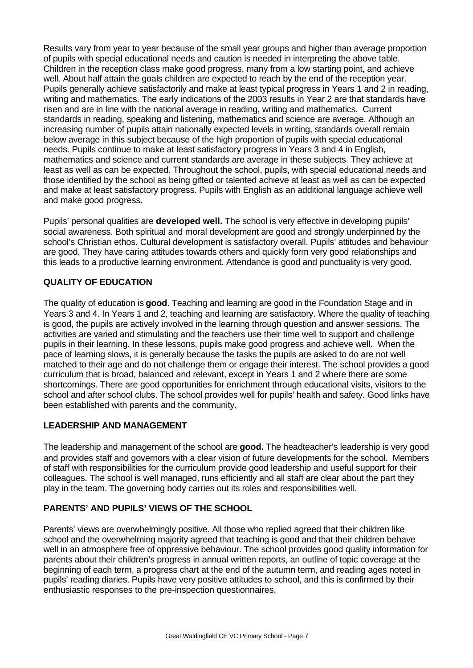Results vary from year to year because of the small year groups and higher than average proportion of pupils with special educational needs and caution is needed in interpreting the above table. Children in the reception class make good progress, many from a low starting point, and achieve well. About half attain the goals children are expected to reach by the end of the reception year. Pupils generally achieve satisfactorily and make at least typical progress in Years 1 and 2 in reading, writing and mathematics. The early indications of the 2003 results in Year 2 are that standards have risen and are in line with the national average in reading, writing and mathematics. Current standards in reading, speaking and listening, mathematics and science are average. Although an increasing number of pupils attain nationally expected levels in writing, standards overall remain below average in this subject because of the high proportion of pupils with special educational needs. Pupils continue to make at least satisfactory progress in Years 3 and 4 in English, mathematics and science and current standards are average in these subjects. They achieve at least as well as can be expected. Throughout the school, pupils, with special educational needs and those identified by the school as being gifted or talented achieve at least as well as can be expected and make at least satisfactory progress. Pupils with English as an additional language achieve well and make good progress.

Pupils' personal qualities are **developed well.** The school is very effective in developing pupils' social awareness. Both spiritual and moral development are good and strongly underpinned by the school's Christian ethos. Cultural development is satisfactory overall. Pupils' attitudes and behaviour are good. They have caring attitudes towards others and quickly form very good relationships and this leads to a productive learning environment. Attendance is good and punctuality is very good.

## **QUALITY OF EDUCATION**

The quality of education is **good**. Teaching and learning are good in the Foundation Stage and in Years 3 and 4. In Years 1 and 2, teaching and learning are satisfactory. Where the quality of teaching is good, the pupils are actively involved in the learning through question and answer sessions. The activities are varied and stimulating and the teachers use their time well to support and challenge pupils in their learning. In these lessons, pupils make good progress and achieve well. When the pace of learning slows, it is generally because the tasks the pupils are asked to do are not well matched to their age and do not challenge them or engage their interest. The school provides a good curriculum that is broad, balanced and relevant, except in Years 1 and 2 where there are some shortcomings. There are good opportunities for enrichment through educational visits, visitors to the school and after school clubs. The school provides well for pupils' health and safety. Good links have been established with parents and the community.

## **LEADERSHIP AND MANAGEMENT**

The leadership and management of the school are **good.** The headteacher's leadership is very good and provides staff and governors with a clear vision of future developments for the school. Members of staff with responsibilities for the curriculum provide good leadership and useful support for their colleagues. The school is well managed, runs efficiently and all staff are clear about the part they play in the team. The governing body carries out its roles and responsibilities well.

## **PARENTS' AND PUPILS' VIEWS OF THE SCHOOL**

Parents' views are overwhelmingly positive. All those who replied agreed that their children like school and the overwhelming majority agreed that teaching is good and that their children behave well in an atmosphere free of oppressive behaviour. The school provides good quality information for parents about their children's progress in annual written reports, an outline of topic coverage at the beginning of each term, a progress chart at the end of the autumn term, and reading ages noted in pupils' reading diaries. Pupils have very positive attitudes to school, and this is confirmed by their enthusiastic responses to the pre-inspection questionnaires.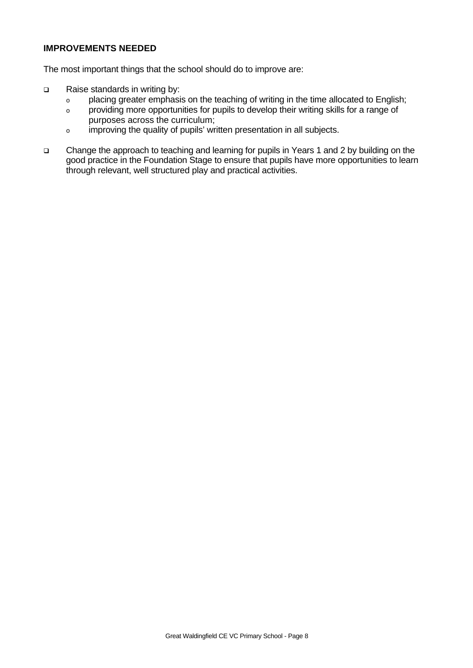## **IMPROVEMENTS NEEDED**

The most important things that the school should do to improve are:

- q Raise standards in writing by:
	- o placing greater emphasis on the teaching of writing in the time allocated to English;
	- o providing more opportunities for pupils to develop their writing skills for a range of purposes across the curriculum;
	- o improving the quality of pupils' written presentation in all subjects.
- q Change the approach to teaching and learning for pupils in Years 1 and 2 by building on the good practice in the Foundation Stage to ensure that pupils have more opportunities to learn through relevant, well structured play and practical activities.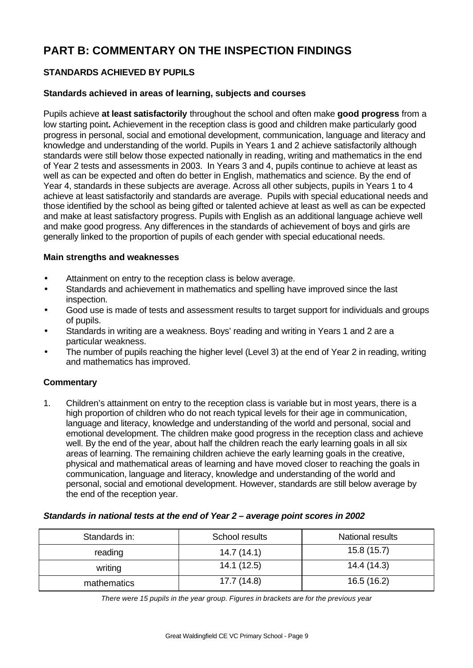# **PART B: COMMENTARY ON THE INSPECTION FINDINGS**

# **STANDARDS ACHIEVED BY PUPILS**

## **Standards achieved in areas of learning, subjects and courses**

Pupils achieve **at least satisfactorily** throughout the school and often make **good progress** from a low starting point**.** Achievement in the reception class is good and children make particularly good progress in personal, social and emotional development, communication, language and literacy and knowledge and understanding of the world. Pupils in Years 1 and 2 achieve satisfactorily although standards were still below those expected nationally in reading, writing and mathematics in the end of Year 2 tests and assessments in 2003. In Years 3 and 4, pupils continue to achieve at least as well as can be expected and often do better in English, mathematics and science. By the end of Year 4, standards in these subjects are average. Across all other subjects, pupils in Years 1 to 4 achieve at least satisfactorily and standards are average. Pupils with special educational needs and those identified by the school as being gifted or talented achieve at least as well as can be expected and make at least satisfactory progress. Pupils with English as an additional language achieve well and make good progress. Any differences in the standards of achievement of boys and girls are generally linked to the proportion of pupils of each gender with special educational needs.

## **Main strengths and weaknesses**

- Attainment on entry to the reception class is below average.
- Standards and achievement in mathematics and spelling have improved since the last inspection.
- Good use is made of tests and assessment results to target support for individuals and groups of pupils.
- Standards in writing are a weakness. Boys' reading and writing in Years 1 and 2 are a particular weakness.
- The number of pupils reaching the higher level (Level 3) at the end of Year 2 in reading, writing and mathematics has improved.

## **Commentary**

1. Children's attainment on entry to the reception class is variable but in most years, there is a high proportion of children who do not reach typical levels for their age in communication, language and literacy, knowledge and understanding of the world and personal, social and emotional development. The children make good progress in the reception class and achieve well. By the end of the year, about half the children reach the early learning goals in all six areas of learning. The remaining children achieve the early learning goals in the creative, physical and mathematical areas of learning and have moved closer to reaching the goals in communication, language and literacy, knowledge and understanding of the world and personal, social and emotional development. However, standards are still below average by the end of the reception year.

## *Standards in national tests at the end of Year 2 – average point scores in 2002*

| Standards in: | School results | National results |
|---------------|----------------|------------------|
| reading       | 14.7(14.1)     | 15.8(15.7)       |
| writing       | 14.1(12.5)     | 14.4 (14.3)      |
| mathematics   | 17.7 (14.8)    | 16.5(16.2)       |

*There were 15 pupils in the year group. Figures in brackets are for the previous year*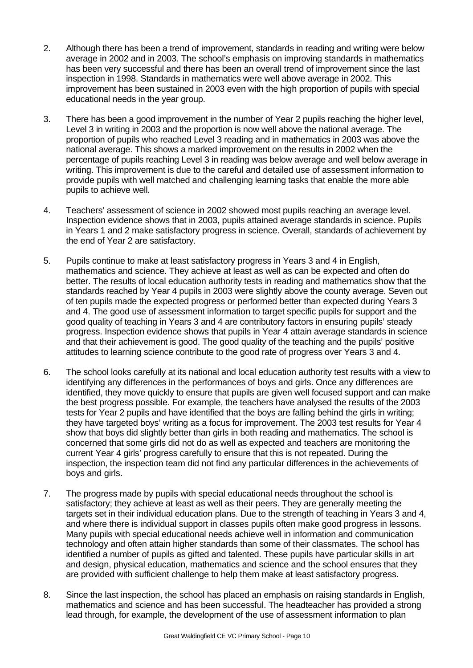- 2. Although there has been a trend of improvement, standards in reading and writing were below average in 2002 and in 2003. The school's emphasis on improving standards in mathematics has been very successful and there has been an overall trend of improvement since the last inspection in 1998. Standards in mathematics were well above average in 2002. This improvement has been sustained in 2003 even with the high proportion of pupils with special educational needs in the year group.
- 3. There has been a good improvement in the number of Year 2 pupils reaching the higher level, Level 3 in writing in 2003 and the proportion is now well above the national average. The proportion of pupils who reached Level 3 reading and in mathematics in 2003 was above the national average. This shows a marked improvement on the results in 2002 when the percentage of pupils reaching Level 3 in reading was below average and well below average in writing. This improvement is due to the careful and detailed use of assessment information to provide pupils with well matched and challenging learning tasks that enable the more able pupils to achieve well.
- 4. Teachers' assessment of science in 2002 showed most pupils reaching an average level. Inspection evidence shows that in 2003, pupils attained average standards in science. Pupils in Years 1 and 2 make satisfactory progress in science. Overall, standards of achievement by the end of Year 2 are satisfactory.
- 5. Pupils continue to make at least satisfactory progress in Years 3 and 4 in English, mathematics and science. They achieve at least as well as can be expected and often do better. The results of local education authority tests in reading and mathematics show that the standards reached by Year 4 pupils in 2003 were slightly above the county average. Seven out of ten pupils made the expected progress or performed better than expected during Years 3 and 4. The good use of assessment information to target specific pupils for support and the good quality of teaching in Years 3 and 4 are contributory factors in ensuring pupils' steady progress. Inspection evidence shows that pupils in Year 4 attain average standards in science and that their achievement is good. The good quality of the teaching and the pupils' positive attitudes to learning science contribute to the good rate of progress over Years 3 and 4.
- 6. The school looks carefully at its national and local education authority test results with a view to identifying any differences in the performances of boys and girls. Once any differences are identified, they move quickly to ensure that pupils are given well focused support and can make the best progress possible. For example, the teachers have analysed the results of the 2003 tests for Year 2 pupils and have identified that the boys are falling behind the girls in writing; they have targeted boys' writing as a focus for improvement. The 2003 test results for Year 4 show that boys did slightly better than girls in both reading and mathematics. The school is concerned that some girls did not do as well as expected and teachers are monitoring the current Year 4 girls' progress carefully to ensure that this is not repeated. During the inspection, the inspection team did not find any particular differences in the achievements of boys and girls.
- 7. The progress made by pupils with special educational needs throughout the school is satisfactory; they achieve at least as well as their peers. They are generally meeting the targets set in their individual education plans. Due to the strength of teaching in Years 3 and 4, and where there is individual support in classes pupils often make good progress in lessons. Many pupils with special educational needs achieve well in information and communication technology and often attain higher standards than some of their classmates. The school has identified a number of pupils as gifted and talented. These pupils have particular skills in art and design, physical education, mathematics and science and the school ensures that they are provided with sufficient challenge to help them make at least satisfactory progress.
- 8. Since the last inspection, the school has placed an emphasis on raising standards in English, mathematics and science and has been successful. The headteacher has provided a strong lead through, for example, the development of the use of assessment information to plan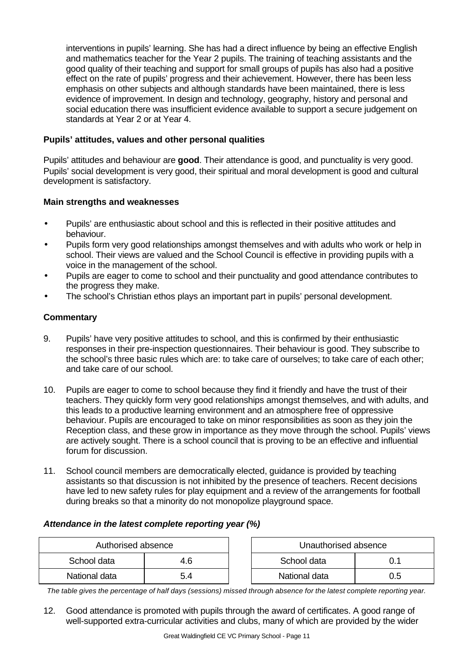interventions in pupils' learning. She has had a direct influence by being an effective English and mathematics teacher for the Year 2 pupils. The training of teaching assistants and the good quality of their teaching and support for small groups of pupils has also had a positive effect on the rate of pupils' progress and their achievement. However, there has been less emphasis on other subjects and although standards have been maintained, there is less evidence of improvement. In design and technology, geography, history and personal and social education there was insufficient evidence available to support a secure judgement on standards at Year 2 or at Year 4.

## **Pupils' attitudes, values and other personal qualities**

Pupils' attitudes and behaviour are **good**. Their attendance is good, and punctuality is very good. Pupils' social development is very good, their spiritual and moral development is good and cultural development is satisfactory.

## **Main strengths and weaknesses**

- Pupils' are enthusiastic about school and this is reflected in their positive attitudes and behaviour.
- Pupils form very good relationships amongst themselves and with adults who work or help in school. Their views are valued and the School Council is effective in providing pupils with a voice in the management of the school.
- Pupils are eager to come to school and their punctuality and good attendance contributes to the progress they make.
- The school's Christian ethos plays an important part in pupils' personal development.

## **Commentary**

- 9. Pupils' have very positive attitudes to school, and this is confirmed by their enthusiastic responses in their pre-inspection questionnaires. Their behaviour is good. They subscribe to the school's three basic rules which are: to take care of ourselves; to take care of each other; and take care of our school.
- 10. Pupils are eager to come to school because they find it friendly and have the trust of their teachers. They quickly form very good relationships amongst themselves, and with adults, and this leads to a productive learning environment and an atmosphere free of oppressive behaviour. Pupils are encouraged to take on minor responsibilities as soon as they join the Reception class, and these grow in importance as they move through the school. Pupils' views are actively sought. There is a school council that is proving to be an effective and influential forum for discussion.
- 11. School council members are democratically elected, guidance is provided by teaching assistants so that discussion is not inhibited by the presence of teachers. Recent decisions have led to new safety rules for play equipment and a review of the arrangements for football during breaks so that a minority do not monopolize playground space.

## *Attendance in the latest complete reporting year (%)*

| Authorised absence |     | Unauthorised absence |     |
|--------------------|-----|----------------------|-----|
| School data        | 4.6 | School data          |     |
| National data      | 5.4 | National data        | 0.5 |

*The table gives the percentage of half days (sessions) missed through absence for the latest complete reporting year.*

12. Good attendance is promoted with pupils through the award of certificates. A good range of well-supported extra-curricular activities and clubs, many of which are provided by the wider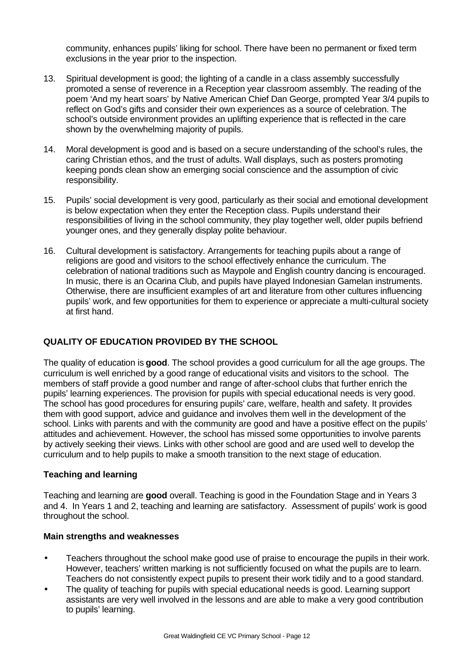community, enhances pupils' liking for school. There have been no permanent or fixed term exclusions in the year prior to the inspection.

- 13. Spiritual development is good; the lighting of a candle in a class assembly successfully promoted a sense of reverence in a Reception year classroom assembly. The reading of the poem 'And my heart soars' by Native American Chief Dan George, prompted Year 3/4 pupils to reflect on God's gifts and consider their own experiences as a source of celebration. The school's outside environment provides an uplifting experience that is reflected in the care shown by the overwhelming majority of pupils.
- 14. Moral development is good and is based on a secure understanding of the school's rules, the caring Christian ethos, and the trust of adults. Wall displays, such as posters promoting keeping ponds clean show an emerging social conscience and the assumption of civic responsibility.
- 15. Pupils' social development is very good, particularly as their social and emotional development is below expectation when they enter the Reception class. Pupils understand their responsibilities of living in the school community, they play together well, older pupils befriend younger ones, and they generally display polite behaviour.
- 16. Cultural development is satisfactory. Arrangements for teaching pupils about a range of religions are good and visitors to the school effectively enhance the curriculum. The celebration of national traditions such as Maypole and English country dancing is encouraged. In music, there is an Ocarina Club, and pupils have played Indonesian Gamelan instruments. Otherwise, there are insufficient examples of art and literature from other cultures influencing pupils' work, and few opportunities for them to experience or appreciate a multi-cultural society at first hand.

## **QUALITY OF EDUCATION PROVIDED BY THE SCHOOL**

The quality of education is **good**. The school provides a good curriculum for all the age groups. The curriculum is well enriched by a good range of educational visits and visitors to the school. The members of staff provide a good number and range of after-school clubs that further enrich the pupils' learning experiences. The provision for pupils with special educational needs is very good. The school has good procedures for ensuring pupils' care, welfare, health and safety. It provides them with good support, advice and guidance and involves them well in the development of the school. Links with parents and with the community are good and have a positive effect on the pupils' attitudes and achievement. However, the school has missed some opportunities to involve parents by actively seeking their views. Links with other school are good and are used well to develop the curriculum and to help pupils to make a smooth transition to the next stage of education.

## **Teaching and learning**

Teaching and learning are **good** overall. Teaching is good in the Foundation Stage and in Years 3 and 4. In Years 1 and 2, teaching and learning are satisfactory. Assessment of pupils' work is good throughout the school.

## **Main strengths and weaknesses**

- Teachers throughout the school make good use of praise to encourage the pupils in their work. However, teachers' written marking is not sufficiently focused on what the pupils are to learn. Teachers do not consistently expect pupils to present their work tidily and to a good standard.
- The quality of teaching for pupils with special educational needs is good. Learning support assistants are very well involved in the lessons and are able to make a very good contribution to pupils' learning.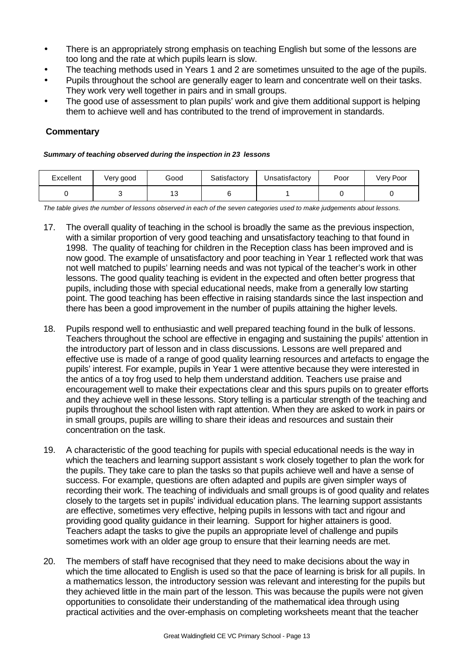- There is an appropriately strong emphasis on teaching English but some of the lessons are too long and the rate at which pupils learn is slow.
- The teaching methods used in Years 1 and 2 are sometimes unsuited to the age of the pupils.
- Pupils throughout the school are generally eager to learn and concentrate well on their tasks. They work very well together in pairs and in small groups.
- The good use of assessment to plan pupils' work and give them additional support is helping them to achieve well and has contributed to the trend of improvement in standards.

## **Commentary**

#### *Summary of teaching observed during the inspection in 23 lessons*

| Excellent | Very good | Good           | Satisfactory | Unsatisfactorv | Poor | Very Poor |
|-----------|-----------|----------------|--------------|----------------|------|-----------|
|           |           | $4^\circ$<br>⊶ |              |                |      |           |

*The table gives the number of lessons observed in each of the seven categories used to make judgements about lessons.*

- 17. The overall quality of teaching in the school is broadly the same as the previous inspection, with a similar proportion of very good teaching and unsatisfactory teaching to that found in 1998. The quality of teaching for children in the Reception class has been improved and is now good. The example of unsatisfactory and poor teaching in Year 1 reflected work that was not well matched to pupils' learning needs and was not typical of the teacher's work in other lessons. The good quality teaching is evident in the expected and often better progress that pupils, including those with special educational needs, make from a generally low starting point. The good teaching has been effective in raising standards since the last inspection and there has been a good improvement in the number of pupils attaining the higher levels.
- 18. Pupils respond well to enthusiastic and well prepared teaching found in the bulk of lessons. Teachers throughout the school are effective in engaging and sustaining the pupils' attention in the introductory part of lesson and in class discussions. Lessons are well prepared and effective use is made of a range of good quality learning resources and artefacts to engage the pupils' interest. For example, pupils in Year 1 were attentive because they were interested in the antics of a toy frog used to help them understand addition. Teachers use praise and encouragement well to make their expectations clear and this spurs pupils on to greater efforts and they achieve well in these lessons. Story telling is a particular strength of the teaching and pupils throughout the school listen with rapt attention. When they are asked to work in pairs or in small groups, pupils are willing to share their ideas and resources and sustain their concentration on the task.
- 19. A characteristic of the good teaching for pupils with special educational needs is the way in which the teachers and learning support assistant s work closely together to plan the work for the pupils. They take care to plan the tasks so that pupils achieve well and have a sense of success. For example, questions are often adapted and pupils are given simpler ways of recording their work. The teaching of individuals and small groups is of good quality and relates closely to the targets set in pupils' individual education plans. The learning support assistants are effective, sometimes very effective, helping pupils in lessons with tact and rigour and providing good quality guidance in their learning. Support for higher attainers is good. Teachers adapt the tasks to give the pupils an appropriate level of challenge and pupils sometimes work with an older age group to ensure that their learning needs are met.
- 20. The members of staff have recognised that they need to make decisions about the way in which the time allocated to English is used so that the pace of learning is brisk for all pupils. In a mathematics lesson, the introductory session was relevant and interesting for the pupils but they achieved little in the main part of the lesson. This was because the pupils were not given opportunities to consolidate their understanding of the mathematical idea through using practical activities and the over-emphasis on completing worksheets meant that the teacher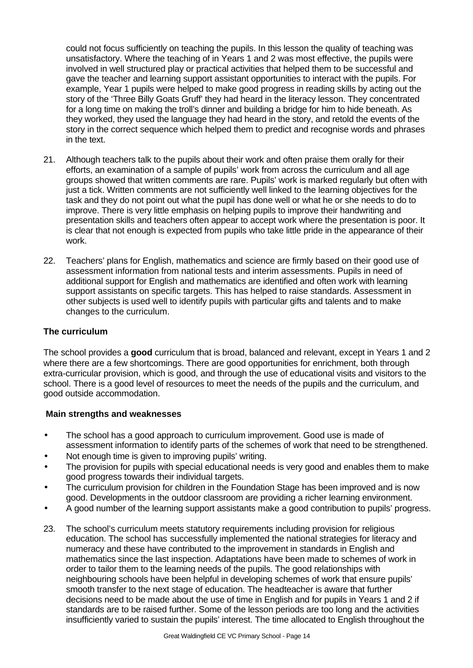could not focus sufficiently on teaching the pupils. In this lesson the quality of teaching was unsatisfactory. Where the teaching of in Years 1 and 2 was most effective, the pupils were involved in well structured play or practical activities that helped them to be successful and gave the teacher and learning support assistant opportunities to interact with the pupils. For example, Year 1 pupils were helped to make good progress in reading skills by acting out the story of the 'Three Billy Goats Gruff' they had heard in the literacy lesson. They concentrated for a long time on making the troll's dinner and building a bridge for him to hide beneath. As they worked, they used the language they had heard in the story, and retold the events of the story in the correct sequence which helped them to predict and recognise words and phrases in the text.

- 21. Although teachers talk to the pupils about their work and often praise them orally for their efforts, an examination of a sample of pupils' work from across the curriculum and all age groups showed that written comments are rare. Pupils' work is marked regularly but often with just a tick. Written comments are not sufficiently well linked to the learning objectives for the task and they do not point out what the pupil has done well or what he or she needs to do to improve. There is very little emphasis on helping pupils to improve their handwriting and presentation skills and teachers often appear to accept work where the presentation is poor. It is clear that not enough is expected from pupils who take little pride in the appearance of their work.
- 22. Teachers' plans for English, mathematics and science are firmly based on their good use of assessment information from national tests and interim assessments. Pupils in need of additional support for English and mathematics are identified and often work with learning support assistants on specific targets. This has helped to raise standards. Assessment in other subjects is used well to identify pupils with particular gifts and talents and to make changes to the curriculum.

## **The curriculum**

The school provides a **good** curriculum that is broad, balanced and relevant, except in Years 1 and 2 where there are a few shortcomings. There are good opportunities for enrichment, both through extra-curricular provision, which is good, and through the use of educational visits and visitors to the school. There is a good level of resources to meet the needs of the pupils and the curriculum, and good outside accommodation.

## **Main strengths and weaknesses**

- The school has a good approach to curriculum improvement. Good use is made of assessment information to identify parts of the schemes of work that need to be strengthened.
- Not enough time is given to improving pupils' writing.
- The provision for pupils with special educational needs is very good and enables them to make good progress towards their individual targets.
- The curriculum provision for children in the Foundation Stage has been improved and is now good. Developments in the outdoor classroom are providing a richer learning environment.
- A good number of the learning support assistants make a good contribution to pupils' progress.
- 23. The school's curriculum meets statutory requirements including provision for religious education. The school has successfully implemented the national strategies for literacy and numeracy and these have contributed to the improvement in standards in English and mathematics since the last inspection. Adaptations have been made to schemes of work in order to tailor them to the learning needs of the pupils. The good relationships with neighbouring schools have been helpful in developing schemes of work that ensure pupils' smooth transfer to the next stage of education. The headteacher is aware that further decisions need to be made about the use of time in English and for pupils in Years 1 and 2 if standards are to be raised further. Some of the lesson periods are too long and the activities insufficiently varied to sustain the pupils' interest. The time allocated to English throughout the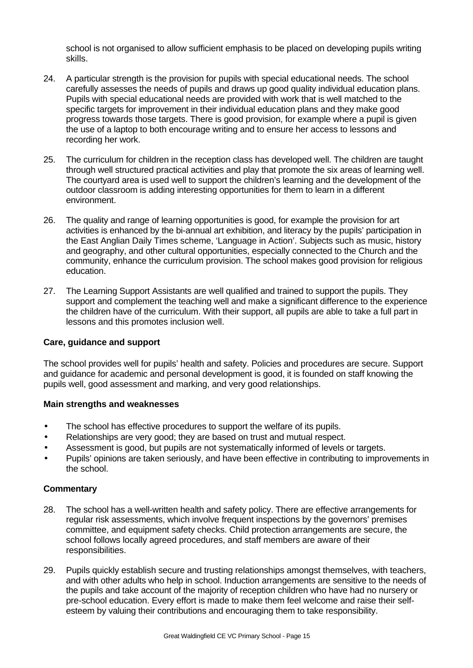school is not organised to allow sufficient emphasis to be placed on developing pupils writing skills.

- 24. A particular strength is the provision for pupils with special educational needs. The school carefully assesses the needs of pupils and draws up good quality individual education plans. Pupils with special educational needs are provided with work that is well matched to the specific targets for improvement in their individual education plans and they make good progress towards those targets. There is good provision, for example where a pupil is given the use of a laptop to both encourage writing and to ensure her access to lessons and recording her work.
- 25. The curriculum for children in the reception class has developed well. The children are taught through well structured practical activities and play that promote the six areas of learning well. The courtyard area is used well to support the children's learning and the development of the outdoor classroom is adding interesting opportunities for them to learn in a different environment.
- 26. The quality and range of learning opportunities is good, for example the provision for art activities is enhanced by the bi-annual art exhibition, and literacy by the pupils' participation in the East Anglian Daily Times scheme, 'Language in Action'. Subjects such as music, history and geography, and other cultural opportunities, especially connected to the Church and the community, enhance the curriculum provision. The school makes good provision for religious education.
- 27. The Learning Support Assistants are well qualified and trained to support the pupils. They support and complement the teaching well and make a significant difference to the experience the children have of the curriculum. With their support, all pupils are able to take a full part in lessons and this promotes inclusion well.

## **Care, guidance and support**

The school provides well for pupils' health and safety. Policies and procedures are secure. Support and guidance for academic and personal development is good, it is founded on staff knowing the pupils well, good assessment and marking, and very good relationships.

## **Main strengths and weaknesses**

- The school has effective procedures to support the welfare of its pupils.
- Relationships are very good; they are based on trust and mutual respect.
- Assessment is good, but pupils are not systematically informed of levels or targets.
- Pupils' opinions are taken seriously, and have been effective in contributing to improvements in the school.

- 28. The school has a well-written health and safety policy. There are effective arrangements for regular risk assessments, which involve frequent inspections by the governors' premises committee, and equipment safety checks. Child protection arrangements are secure, the school follows locally agreed procedures, and staff members are aware of their responsibilities.
- 29. Pupils quickly establish secure and trusting relationships amongst themselves, with teachers, and with other adults who help in school. Induction arrangements are sensitive to the needs of the pupils and take account of the majority of reception children who have had no nursery or pre-school education. Every effort is made to make them feel welcome and raise their selfesteem by valuing their contributions and encouraging them to take responsibility.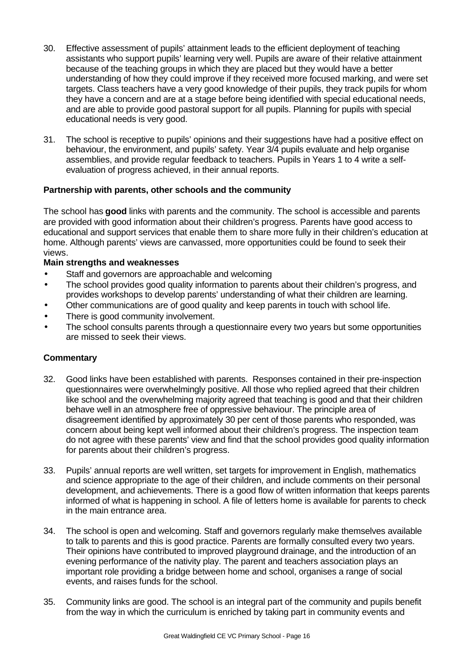- 30. Effective assessment of pupils' attainment leads to the efficient deployment of teaching assistants who support pupils' learning very well. Pupils are aware of their relative attainment because of the teaching groups in which they are placed but they would have a better understanding of how they could improve if they received more focused marking, and were set targets. Class teachers have a very good knowledge of their pupils, they track pupils for whom they have a concern and are at a stage before being identified with special educational needs, and are able to provide good pastoral support for all pupils. Planning for pupils with special educational needs is very good.
- 31. The school is receptive to pupils' opinions and their suggestions have had a positive effect on behaviour, the environment, and pupils' safety. Year 3/4 pupils evaluate and help organise assemblies, and provide regular feedback to teachers. Pupils in Years 1 to 4 write a selfevaluation of progress achieved, in their annual reports.

## **Partnership with parents, other schools and the community**

The school has **good** links with parents and the community. The school is accessible and parents are provided with good information about their children's progress. Parents have good access to educational and support services that enable them to share more fully in their children's education at home. Although parents' views are canvassed, more opportunities could be found to seek their views.

## **Main strengths and weaknesses**

- Staff and governors are approachable and welcoming
- The school provides good quality information to parents about their children's progress, and provides workshops to develop parents' understanding of what their children are learning.
- Other communications are of good quality and keep parents in touch with school life.
- There is good community involvement.
- The school consults parents through a questionnaire every two years but some opportunities are missed to seek their views.

- 32. Good links have been established with parents. Responses contained in their pre-inspection questionnaires were overwhelmingly positive. All those who replied agreed that their children like school and the overwhelming majority agreed that teaching is good and that their children behave well in an atmosphere free of oppressive behaviour. The principle area of disagreement identified by approximately 30 per cent of those parents who responded, was concern about being kept well informed about their children's progress. The inspection team do not agree with these parents' view and find that the school provides good quality information for parents about their children's progress.
- 33. Pupils' annual reports are well written, set targets for improvement in English, mathematics and science appropriate to the age of their children, and include comments on their personal development, and achievements. There is a good flow of written information that keeps parents informed of what is happening in school. A file of letters home is available for parents to check in the main entrance area.
- 34. The school is open and welcoming. Staff and governors regularly make themselves available to talk to parents and this is good practice. Parents are formally consulted every two years. Their opinions have contributed to improved playground drainage, and the introduction of an evening performance of the nativity play. The parent and teachers association plays an important role providing a bridge between home and school, organises a range of social events, and raises funds for the school.
- 35. Community links are good. The school is an integral part of the community and pupils benefit from the way in which the curriculum is enriched by taking part in community events and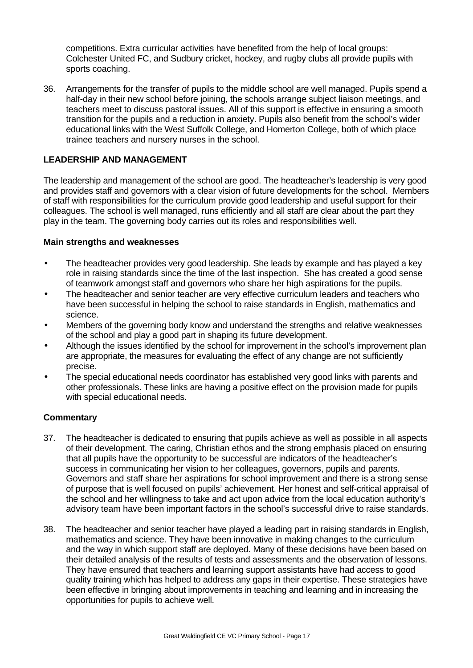competitions. Extra curricular activities have benefited from the help of local groups: Colchester United FC, and Sudbury cricket, hockey, and rugby clubs all provide pupils with sports coaching.

36. Arrangements for the transfer of pupils to the middle school are well managed. Pupils spend a half-day in their new school before joining, the schools arrange subject liaison meetings, and teachers meet to discuss pastoral issues. All of this support is effective in ensuring a smooth transition for the pupils and a reduction in anxiety. Pupils also benefit from the school's wider educational links with the West Suffolk College, and Homerton College, both of which place trainee teachers and nursery nurses in the school.

## **LEADERSHIP AND MANAGEMENT**

The leadership and management of the school are good. The headteacher's leadership is very good and provides staff and governors with a clear vision of future developments for the school. Members of staff with responsibilities for the curriculum provide good leadership and useful support for their colleagues. The school is well managed, runs efficiently and all staff are clear about the part they play in the team. The governing body carries out its roles and responsibilities well.

#### **Main strengths and weaknesses**

- The headteacher provides very good leadership. She leads by example and has played a key role in raising standards since the time of the last inspection. She has created a good sense of teamwork amongst staff and governors who share her high aspirations for the pupils.
- The headteacher and senior teacher are very effective curriculum leaders and teachers who have been successful in helping the school to raise standards in English, mathematics and science.
- Members of the governing body know and understand the strengths and relative weaknesses of the school and play a good part in shaping its future development.
- Although the issues identified by the school for improvement in the school's improvement plan are appropriate, the measures for evaluating the effect of any change are not sufficiently precise.
- The special educational needs coordinator has established very good links with parents and other professionals. These links are having a positive effect on the provision made for pupils with special educational needs.

- 37. The headteacher is dedicated to ensuring that pupils achieve as well as possible in all aspects of their development. The caring, Christian ethos and the strong emphasis placed on ensuring that all pupils have the opportunity to be successful are indicators of the headteacher's success in communicating her vision to her colleagues, governors, pupils and parents. Governors and staff share her aspirations for school improvement and there is a strong sense of purpose that is well focused on pupils' achievement. Her honest and self-critical appraisal of the school and her willingness to take and act upon advice from the local education authority's advisory team have been important factors in the school's successful drive to raise standards.
- 38. The headteacher and senior teacher have played a leading part in raising standards in English, mathematics and science. They have been innovative in making changes to the curriculum and the way in which support staff are deployed. Many of these decisions have been based on their detailed analysis of the results of tests and assessments and the observation of lessons. They have ensured that teachers and learning support assistants have had access to good quality training which has helped to address any gaps in their expertise. These strategies have been effective in bringing about improvements in teaching and learning and in increasing the opportunities for pupils to achieve well.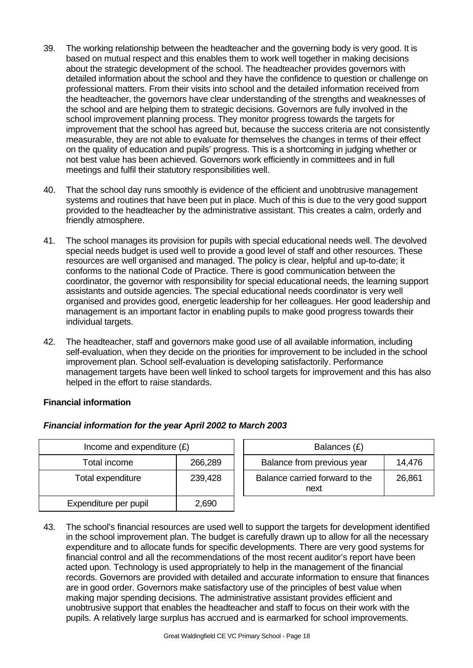- 39. The working relationship between the headteacher and the governing body is very good. It is based on mutual respect and this enables them to work well together in making decisions about the strategic development of the school. The headteacher provides governors with detailed information about the school and they have the confidence to question or challenge on professional matters. From their visits into school and the detailed information received from the headteacher, the governors have clear understanding of the strengths and weaknesses of the school and are helping them to strategic decisions. Governors are fully involved in the school improvement planning process. They monitor progress towards the targets for improvement that the school has agreed but, because the success criteria are not consistently measurable, they are not able to evaluate for themselves the changes in terms of their effect on the quality of education and pupils' progress. This is a shortcoming in judging whether or not best value has been achieved. Governors work efficiently in committees and in full meetings and fulfil their statutory responsibilities well.
- 40. That the school day runs smoothly is evidence of the efficient and unobtrusive management systems and routines that have been put in place. Much of this is due to the very good support provided to the headteacher by the administrative assistant. This creates a calm, orderly and friendly atmosphere.
- 41. The school manages its provision for pupils with special educational needs well. The devolved special needs budget is used well to provide a good level of staff and other resources. These resources are well organised and managed. The policy is clear, helpful and up-to-date; it conforms to the national Code of Practice. There is good communication between the coordinator, the governor with responsibility for special educational needs, the learning support assistants and outside agencies. The special educational needs coordinator is very well organised and provides good, energetic leadership for her colleagues. Her good leadership and management is an important factor in enabling pupils to make good progress towards their individual targets.
- 42. The headteacher, staff and governors make good use of all available information, including self-evaluation, when they decide on the priorities for improvement to be included in the school improvement plan. School self-evaluation is developing satisfactorily. Performance management targets have been well linked to school targets for improvement and this has also helped in the effort to raise standards.

## **Financial information**

| Income and expenditure $(E)$ |         | Balances (£)                           |        |
|------------------------------|---------|----------------------------------------|--------|
| Total income                 | 266,289 | Balance from previous year             | 14,476 |
| Total expenditure            | 239,428 | Balance carried forward to the<br>next | 26,861 |
| Expenditure per pupil        | 2,690   |                                        |        |

## *Financial information for the year April 2002 to March 2003*

43. The school's financial resources are used well to support the targets for development identified in the school improvement plan. The budget is carefully drawn up to allow for all the necessary expenditure and to allocate funds for specific developments. There are very good systems for financial control and all the recommendations of the most recent auditor's report have been acted upon. Technology is used appropriately to help in the management of the financial records. Governors are provided with detailed and accurate information to ensure that finances are in good order. Governors make satisfactory use of the principles of best value when making major spending decisions. The administrative assistant provides efficient and unobtrusive support that enables the headteacher and staff to focus on their work with the pupils. A relatively large surplus has accrued and is earmarked for school improvements.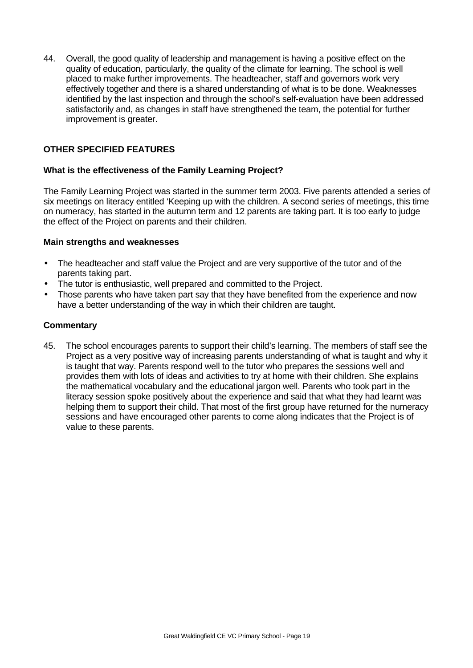44. Overall, the good quality of leadership and management is having a positive effect on the quality of education, particularly, the quality of the climate for learning. The school is well placed to make further improvements. The headteacher, staff and governors work very effectively together and there is a shared understanding of what is to be done. Weaknesses identified by the last inspection and through the school's self-evaluation have been addressed satisfactorily and, as changes in staff have strengthened the team, the potential for further improvement is greater.

# **OTHER SPECIFIED FEATURES**

## **What is the effectiveness of the Family Learning Project?**

The Family Learning Project was started in the summer term 2003. Five parents attended a series of six meetings on literacy entitled 'Keeping up with the children. A second series of meetings, this time on numeracy, has started in the autumn term and 12 parents are taking part. It is too early to judge the effect of the Project on parents and their children.

## **Main strengths and weaknesses**

- The headteacher and staff value the Project and are very supportive of the tutor and of the parents taking part.
- The tutor is enthusiastic, well prepared and committed to the Project.
- Those parents who have taken part say that they have benefited from the experience and now have a better understanding of the way in which their children are taught.

## **Commentary**

45. The school encourages parents to support their child's learning. The members of staff see the Project as a very positive way of increasing parents understanding of what is taught and why it is taught that way. Parents respond well to the tutor who prepares the sessions well and provides them with lots of ideas and activities to try at home with their children. She explains the mathematical vocabulary and the educational jargon well. Parents who took part in the literacy session spoke positively about the experience and said that what they had learnt was helping them to support their child. That most of the first group have returned for the numeracy sessions and have encouraged other parents to come along indicates that the Project is of value to these parents.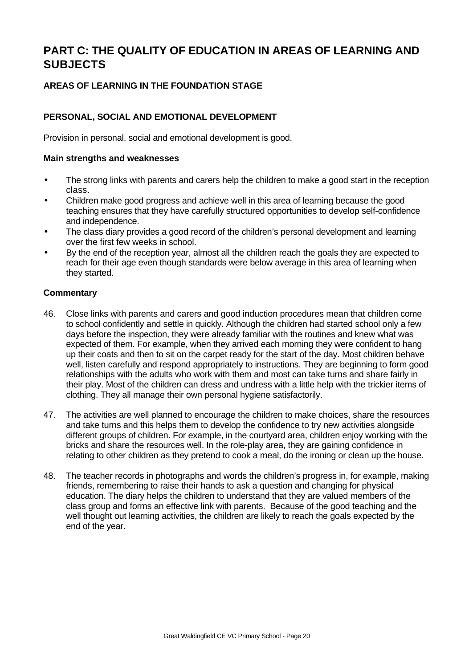# **PART C: THE QUALITY OF EDUCATION IN AREAS OF LEARNING AND SUBJECTS**

# **AREAS OF LEARNING IN THE FOUNDATION STAGE**

## **PERSONAL, SOCIAL AND EMOTIONAL DEVELOPMENT**

Provision in personal, social and emotional development is good.

#### **Main strengths and weaknesses**

- The strong links with parents and carers help the children to make a good start in the reception class.
- Children make good progress and achieve well in this area of learning because the good teaching ensures that they have carefully structured opportunities to develop self-confidence and independence.
- The class diary provides a good record of the children's personal development and learning over the first few weeks in school.
- By the end of the reception year, almost all the children reach the goals they are expected to reach for their age even though standards were below average in this area of learning when they started.

- 46. Close links with parents and carers and good induction procedures mean that children come to school confidently and settle in quickly. Although the children had started school only a few days before the inspection, they were already familiar with the routines and knew what was expected of them. For example, when they arrived each morning they were confident to hang up their coats and then to sit on the carpet ready for the start of the day. Most children behave well, listen carefully and respond appropriately to instructions. They are beginning to form good relationships with the adults who work with them and most can take turns and share fairly in their play. Most of the children can dress and undress with a little help with the trickier items of clothing. They all manage their own personal hygiene satisfactorily.
- 47. The activities are well planned to encourage the children to make choices, share the resources and take turns and this helps them to develop the confidence to try new activities alongside different groups of children. For example, in the courtyard area, children enjoy working with the bricks and share the resources well. In the role-play area, they are gaining confidence in relating to other children as they pretend to cook a meal, do the ironing or clean up the house.
- 48. The teacher records in photographs and words the children's progress in, for example, making friends, remembering to raise their hands to ask a question and changing for physical education. The diary helps the children to understand that they are valued members of the class group and forms an effective link with parents. Because of the good teaching and the well thought out learning activities, the children are likely to reach the goals expected by the end of the year.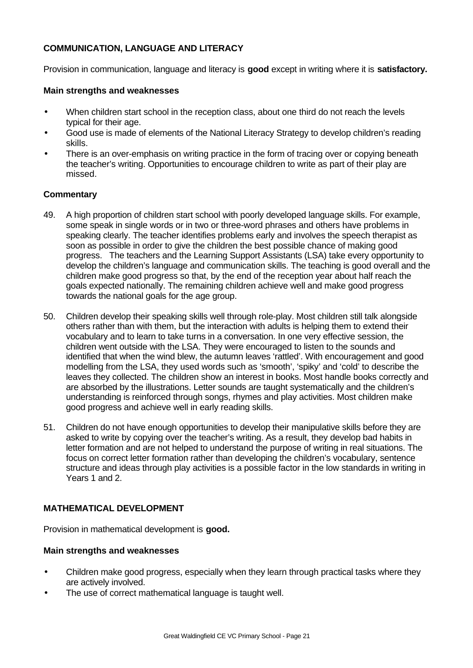## **COMMUNICATION, LANGUAGE AND LITERACY**

Provision in communication, language and literacy is **good** except in writing where it is **satisfactory.**

#### **Main strengths and weaknesses**

- When children start school in the reception class, about one third do not reach the levels typical for their age.
- Good use is made of elements of the National Literacy Strategy to develop children's reading skills.
- There is an over-emphasis on writing practice in the form of tracing over or copying beneath the teacher's writing. Opportunities to encourage children to write as part of their play are missed.

#### **Commentary**

- 49. A high proportion of children start school with poorly developed language skills. For example, some speak in single words or in two or three-word phrases and others have problems in speaking clearly. The teacher identifies problems early and involves the speech therapist as soon as possible in order to give the children the best possible chance of making good progress. The teachers and the Learning Support Assistants (LSA) take every opportunity to develop the children's language and communication skills. The teaching is good overall and the children make good progress so that, by the end of the reception year about half reach the goals expected nationally. The remaining children achieve well and make good progress towards the national goals for the age group.
- 50. Children develop their speaking skills well through role-play. Most children still talk alongside others rather than with them, but the interaction with adults is helping them to extend their vocabulary and to learn to take turns in a conversation. In one very effective session, the children went outside with the LSA. They were encouraged to listen to the sounds and identified that when the wind blew, the autumn leaves 'rattled'. With encouragement and good modelling from the LSA, they used words such as 'smooth', 'spiky' and 'cold' to describe the leaves they collected. The children show an interest in books. Most handle books correctly and are absorbed by the illustrations. Letter sounds are taught systematically and the children's understanding is reinforced through songs, rhymes and play activities. Most children make good progress and achieve well in early reading skills.
- 51. Children do not have enough opportunities to develop their manipulative skills before they are asked to write by copying over the teacher's writing. As a result, they develop bad habits in letter formation and are not helped to understand the purpose of writing in real situations. The focus on correct letter formation rather than developing the children's vocabulary, sentence structure and ideas through play activities is a possible factor in the low standards in writing in Years 1 and 2.

## **MATHEMATICAL DEVELOPMENT**

Provision in mathematical development is **good.**

## **Main strengths and weaknesses**

- Children make good progress, especially when they learn through practical tasks where they are actively involved.
- The use of correct mathematical language is taught well.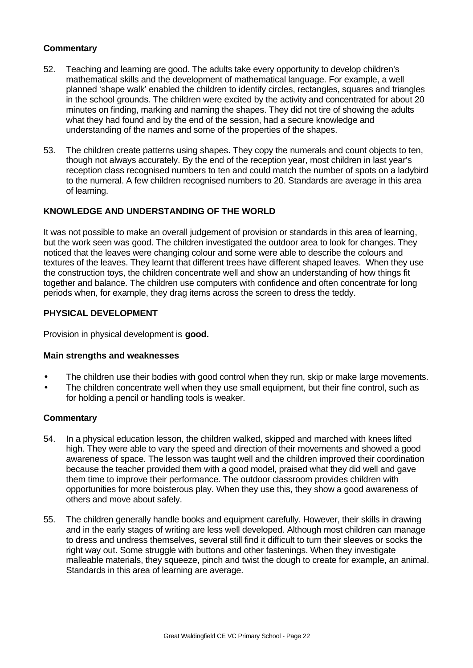## **Commentary**

- 52. Teaching and learning are good. The adults take every opportunity to develop children's mathematical skills and the development of mathematical language. For example, a well planned 'shape walk' enabled the children to identify circles, rectangles, squares and triangles in the school grounds. The children were excited by the activity and concentrated for about 20 minutes on finding, marking and naming the shapes. They did not tire of showing the adults what they had found and by the end of the session, had a secure knowledge and understanding of the names and some of the properties of the shapes.
- 53. The children create patterns using shapes. They copy the numerals and count objects to ten, though not always accurately. By the end of the reception year, most children in last year's reception class recognised numbers to ten and could match the number of spots on a ladybird to the numeral. A few children recognised numbers to 20. Standards are average in this area of learning.

## **KNOWLEDGE AND UNDERSTANDING OF THE WORLD**

It was not possible to make an overall judgement of provision or standards in this area of learning, but the work seen was good. The children investigated the outdoor area to look for changes. They noticed that the leaves were changing colour and some were able to describe the colours and textures of the leaves. They learnt that different trees have different shaped leaves. When they use the construction toys, the children concentrate well and show an understanding of how things fit together and balance. The children use computers with confidence and often concentrate for long periods when, for example, they drag items across the screen to dress the teddy.

## **PHYSICAL DEVELOPMENT**

Provision in physical development is **good.**

## **Main strengths and weaknesses**

- The children use their bodies with good control when they run, skip or make large movements.
- The children concentrate well when they use small equipment, but their fine control, such as for holding a pencil or handling tools is weaker.

- 54. In a physical education lesson, the children walked, skipped and marched with knees lifted high. They were able to vary the speed and direction of their movements and showed a good awareness of space. The lesson was taught well and the children improved their coordination because the teacher provided them with a good model, praised what they did well and gave them time to improve their performance. The outdoor classroom provides children with opportunities for more boisterous play. When they use this, they show a good awareness of others and move about safely.
- 55. The children generally handle books and equipment carefully. However, their skills in drawing and in the early stages of writing are less well developed. Although most children can manage to dress and undress themselves, several still find it difficult to turn their sleeves or socks the right way out. Some struggle with buttons and other fastenings. When they investigate malleable materials, they squeeze, pinch and twist the dough to create for example, an animal. Standards in this area of learning are average.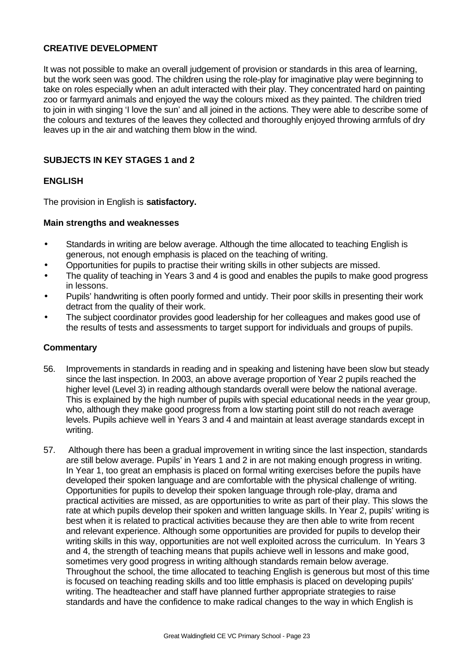## **CREATIVE DEVELOPMENT**

It was not possible to make an overall judgement of provision or standards in this area of learning, but the work seen was good. The children using the role-play for imaginative play were beginning to take on roles especially when an adult interacted with their play. They concentrated hard on painting zoo or farmyard animals and enjoyed the way the colours mixed as they painted. The children tried to join in with singing 'I love the sun' and all joined in the actions. They were able to describe some of the colours and textures of the leaves they collected and thoroughly enjoyed throwing armfuls of dry leaves up in the air and watching them blow in the wind.

## **SUBJECTS IN KEY STAGES 1 and 2**

## **ENGLISH**

The provision in English is **satisfactory.**

#### **Main strengths and weaknesses**

- Standards in writing are below average. Although the time allocated to teaching English is generous, not enough emphasis is placed on the teaching of writing.
- Opportunities for pupils to practise their writing skills in other subjects are missed.
- The quality of teaching in Years 3 and 4 is good and enables the pupils to make good progress in lessons.
- Pupils' handwriting is often poorly formed and untidy. Their poor skills in presenting their work detract from the quality of their work.
- The subject coordinator provides good leadership for her colleagues and makes good use of the results of tests and assessments to target support for individuals and groups of pupils.

- 56. Improvements in standards in reading and in speaking and listening have been slow but steady since the last inspection. In 2003, an above average proportion of Year 2 pupils reached the higher level (Level 3) in reading although standards overall were below the national average. This is explained by the high number of pupils with special educational needs in the year group, who, although they make good progress from a low starting point still do not reach average levels. Pupils achieve well in Years 3 and 4 and maintain at least average standards except in writing.
- 57. Although there has been a gradual improvement in writing since the last inspection, standards are still below average. Pupils' in Years 1 and 2 in are not making enough progress in writing. In Year 1, too great an emphasis is placed on formal writing exercises before the pupils have developed their spoken language and are comfortable with the physical challenge of writing. Opportunities for pupils to develop their spoken language through role-play, drama and practical activities are missed, as are opportunities to write as part of their play. This slows the rate at which pupils develop their spoken and written language skills. In Year 2, pupils' writing is best when it is related to practical activities because they are then able to write from recent and relevant experience. Although some opportunities are provided for pupils to develop their writing skills in this way, opportunities are not well exploited across the curriculum. In Years 3 and 4, the strength of teaching means that pupils achieve well in lessons and make good, sometimes very good progress in writing although standards remain below average. Throughout the school, the time allocated to teaching English is generous but most of this time is focused on teaching reading skills and too little emphasis is placed on developing pupils' writing. The headteacher and staff have planned further appropriate strategies to raise standards and have the confidence to make radical changes to the way in which English is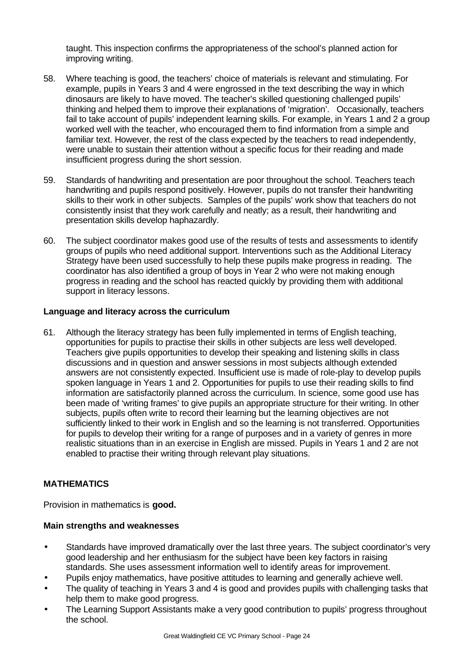taught. This inspection confirms the appropriateness of the school's planned action for improving writing.

- 58. Where teaching is good, the teachers' choice of materials is relevant and stimulating. For example, pupils in Years 3 and 4 were engrossed in the text describing the way in which dinosaurs are likely to have moved. The teacher's skilled questioning challenged pupils' thinking and helped them to improve their explanations of 'migration'. Occasionally, teachers fail to take account of pupils' independent learning skills. For example, in Years 1 and 2 a group worked well with the teacher, who encouraged them to find information from a simple and familiar text. However, the rest of the class expected by the teachers to read independently, were unable to sustain their attention without a specific focus for their reading and made insufficient progress during the short session.
- 59. Standards of handwriting and presentation are poor throughout the school. Teachers teach handwriting and pupils respond positively. However, pupils do not transfer their handwriting skills to their work in other subjects. Samples of the pupils' work show that teachers do not consistently insist that they work carefully and neatly; as a result, their handwriting and presentation skills develop haphazardly.
- 60. The subject coordinator makes good use of the results of tests and assessments to identify groups of pupils who need additional support. Interventions such as the Additional Literacy Strategy have been used successfully to help these pupils make progress in reading. The coordinator has also identified a group of boys in Year 2 who were not making enough progress in reading and the school has reacted quickly by providing them with additional support in literacy lessons.

## **Language and literacy across the curriculum**

61. Although the literacy strategy has been fully implemented in terms of English teaching, opportunities for pupils to practise their skills in other subjects are less well developed. Teachers give pupils opportunities to develop their speaking and listening skills in class discussions and in question and answer sessions in most subjects although extended answers are not consistently expected. Insufficient use is made of role-play to develop pupils spoken language in Years 1 and 2. Opportunities for pupils to use their reading skills to find information are satisfactorily planned across the curriculum. In science, some good use has been made of 'writing frames' to give pupils an appropriate structure for their writing. In other subjects, pupils often write to record their learning but the learning objectives are not sufficiently linked to their work in English and so the learning is not transferred. Opportunities for pupils to develop their writing for a range of purposes and in a variety of genres in more realistic situations than in an exercise in English are missed. Pupils in Years 1 and 2 are not enabled to practise their writing through relevant play situations.

## **MATHEMATICS**

Provision in mathematics is **good.**

## **Main strengths and weaknesses**

- Standards have improved dramatically over the last three years. The subject coordinator's very good leadership and her enthusiasm for the subject have been key factors in raising standards. She uses assessment information well to identify areas for improvement.
- Pupils enjoy mathematics, have positive attitudes to learning and generally achieve well.
- The quality of teaching in Years 3 and 4 is good and provides pupils with challenging tasks that help them to make good progress.
- The Learning Support Assistants make a very good contribution to pupils' progress throughout the school.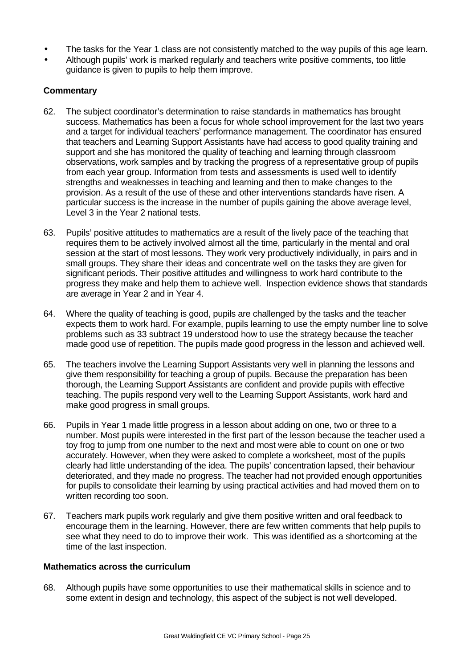- The tasks for the Year 1 class are not consistently matched to the way pupils of this age learn.
- Although pupils' work is marked regularly and teachers write positive comments, too little guidance is given to pupils to help them improve.

## **Commentary**

- 62. The subject coordinator's determination to raise standards in mathematics has brought success. Mathematics has been a focus for whole school improvement for the last two years and a target for individual teachers' performance management. The coordinator has ensured that teachers and Learning Support Assistants have had access to good quality training and support and she has monitored the quality of teaching and learning through classroom observations, work samples and by tracking the progress of a representative group of pupils from each year group. Information from tests and assessments is used well to identify strengths and weaknesses in teaching and learning and then to make changes to the provision. As a result of the use of these and other interventions standards have risen. A particular success is the increase in the number of pupils gaining the above average level, Level 3 in the Year 2 national tests.
- 63. Pupils' positive attitudes to mathematics are a result of the lively pace of the teaching that requires them to be actively involved almost all the time, particularly in the mental and oral session at the start of most lessons. They work very productively individually, in pairs and in small groups. They share their ideas and concentrate well on the tasks they are given for significant periods. Their positive attitudes and willingness to work hard contribute to the progress they make and help them to achieve well. Inspection evidence shows that standards are average in Year 2 and in Year 4.
- 64. Where the quality of teaching is good, pupils are challenged by the tasks and the teacher expects them to work hard. For example, pupils learning to use the empty number line to solve problems such as 33 subtract 19 understood how to use the strategy because the teacher made good use of repetition. The pupils made good progress in the lesson and achieved well.
- 65. The teachers involve the Learning Support Assistants very well in planning the lessons and give them responsibility for teaching a group of pupils. Because the preparation has been thorough, the Learning Support Assistants are confident and provide pupils with effective teaching. The pupils respond very well to the Learning Support Assistants, work hard and make good progress in small groups.
- 66. Pupils in Year 1 made little progress in a lesson about adding on one, two or three to a number. Most pupils were interested in the first part of the lesson because the teacher used a toy frog to jump from one number to the next and most were able to count on one or two accurately. However, when they were asked to complete a worksheet, most of the pupils clearly had little understanding of the idea. The pupils' concentration lapsed, their behaviour deteriorated, and they made no progress. The teacher had not provided enough opportunities for pupils to consolidate their learning by using practical activities and had moved them on to written recording too soon.
- 67. Teachers mark pupils work regularly and give them positive written and oral feedback to encourage them in the learning. However, there are few written comments that help pupils to see what they need to do to improve their work. This was identified as a shortcoming at the time of the last inspection.

## **Mathematics across the curriculum**

68. Although pupils have some opportunities to use their mathematical skills in science and to some extent in design and technology, this aspect of the subject is not well developed.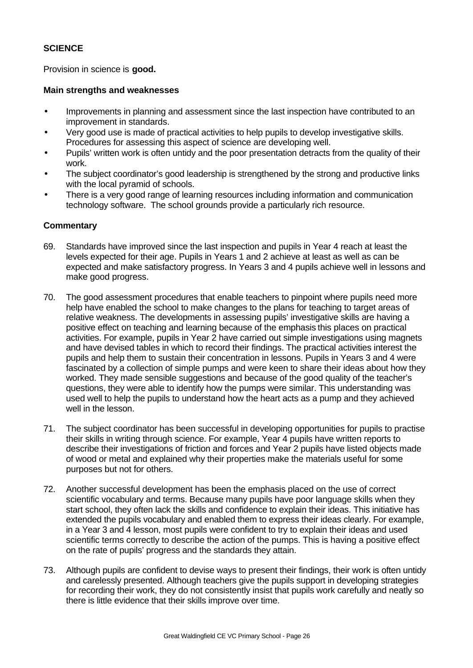## **SCIENCE**

Provision in science is **good.**

#### **Main strengths and weaknesses**

- Improvements in planning and assessment since the last inspection have contributed to an improvement in standards.
- Very good use is made of practical activities to help pupils to develop investigative skills. Procedures for assessing this aspect of science are developing well.
- Pupils' written work is often untidy and the poor presentation detracts from the quality of their work.
- The subject coordinator's good leadership is strengthened by the strong and productive links with the local pyramid of schools.
- There is a very good range of learning resources including information and communication technology software. The school grounds provide a particularly rich resource.

- 69. Standards have improved since the last inspection and pupils in Year 4 reach at least the levels expected for their age. Pupils in Years 1 and 2 achieve at least as well as can be expected and make satisfactory progress. In Years 3 and 4 pupils achieve well in lessons and make good progress.
- 70. The good assessment procedures that enable teachers to pinpoint where pupils need more help have enabled the school to make changes to the plans for teaching to target areas of relative weakness. The developments in assessing pupils' investigative skills are having a positive effect on teaching and learning because of the emphasis this places on practical activities. For example, pupils in Year 2 have carried out simple investigations using magnets and have devised tables in which to record their findings. The practical activities interest the pupils and help them to sustain their concentration in lessons. Pupils in Years 3 and 4 were fascinated by a collection of simple pumps and were keen to share their ideas about how they worked. They made sensible suggestions and because of the good quality of the teacher's questions, they were able to identify how the pumps were similar. This understanding was used well to help the pupils to understand how the heart acts as a pump and they achieved well in the lesson.
- 71. The subject coordinator has been successful in developing opportunities for pupils to practise their skills in writing through science. For example, Year 4 pupils have written reports to describe their investigations of friction and forces and Year 2 pupils have listed objects made of wood or metal and explained why their properties make the materials useful for some purposes but not for others.
- 72. Another successful development has been the emphasis placed on the use of correct scientific vocabulary and terms. Because many pupils have poor language skills when they start school, they often lack the skills and confidence to explain their ideas. This initiative has extended the pupils vocabulary and enabled them to express their ideas clearly. For example, in a Year 3 and 4 lesson, most pupils were confident to try to explain their ideas and used scientific terms correctly to describe the action of the pumps. This is having a positive effect on the rate of pupils' progress and the standards they attain.
- 73. Although pupils are confident to devise ways to present their findings, their work is often untidy and carelessly presented. Although teachers give the pupils support in developing strategies for recording their work, they do not consistently insist that pupils work carefully and neatly so there is little evidence that their skills improve over time.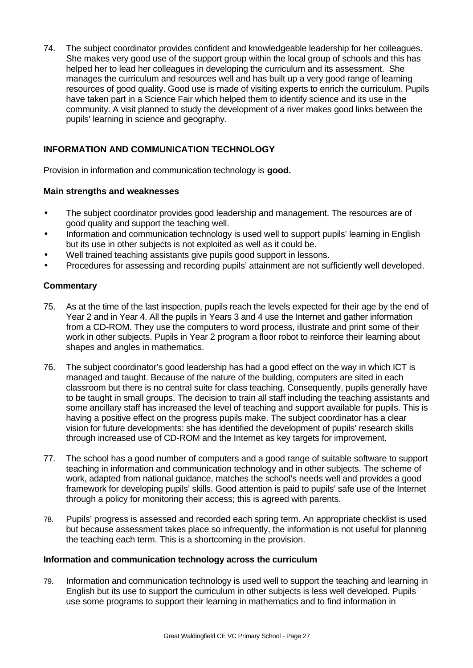74. The subject coordinator provides confident and knowledgeable leadership for her colleagues. She makes very good use of the support group within the local group of schools and this has helped her to lead her colleagues in developing the curriculum and its assessment. She manages the curriculum and resources well and has built up a very good range of learning resources of good quality. Good use is made of visiting experts to enrich the curriculum. Pupils have taken part in a Science Fair which helped them to identify science and its use in the community. A visit planned to study the development of a river makes good links between the pupils' learning in science and geography.

## **INFORMATION AND COMMUNICATION TECHNOLOGY**

Provision in information and communication technology is **good.**

## **Main strengths and weaknesses**

- The subject coordinator provides good leadership and management. The resources are of good quality and support the teaching well.
- Information and communication technology is used well to support pupils' learning in English but its use in other subjects is not exploited as well as it could be.
- Well trained teaching assistants give pupils good support in lessons.
- Procedures for assessing and recording pupils' attainment are not sufficiently well developed.

## **Commentary**

- 75. As at the time of the last inspection, pupils reach the levels expected for their age by the end of Year 2 and in Year 4. All the pupils in Years 3 and 4 use the Internet and gather information from a CD-ROM. They use the computers to word process, illustrate and print some of their work in other subjects. Pupils in Year 2 program a floor robot to reinforce their learning about shapes and angles in mathematics.
- 76. The subject coordinator's good leadership has had a good effect on the way in which ICT is managed and taught. Because of the nature of the building, computers are sited in each classroom but there is no central suite for class teaching. Consequently, pupils generally have to be taught in small groups. The decision to train all staff including the teaching assistants and some ancillary staff has increased the level of teaching and support available for pupils. This is having a positive effect on the progress pupils make. The subject coordinator has a clear vision for future developments: she has identified the development of pupils' research skills through increased use of CD-ROM and the Internet as key targets for improvement.
- 77. The school has a good number of computers and a good range of suitable software to support teaching in information and communication technology and in other subjects. The scheme of work, adapted from national guidance, matches the school's needs well and provides a good framework for developing pupils' skills. Good attention is paid to pupils' safe use of the Internet through a policy for monitoring their access; this is agreed with parents.
- 78. Pupils' progress is assessed and recorded each spring term. An appropriate checklist is used but because assessment takes place so infrequently, the information is not useful for planning the teaching each term. This is a shortcoming in the provision.

## **Information and communication technology across the curriculum**

79. Information and communication technology is used well to support the teaching and learning in English but its use to support the curriculum in other subjects is less well developed. Pupils use some programs to support their learning in mathematics and to find information in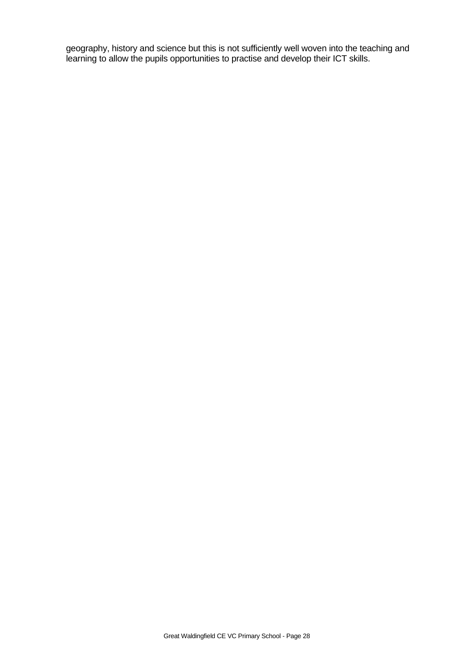geography, history and science but this is not sufficiently well woven into the teaching and learning to allow the pupils opportunities to practise and develop their ICT skills.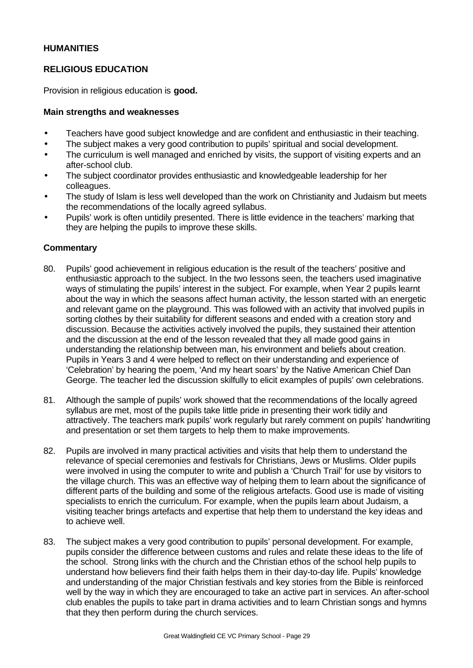## **HUMANITIES**

## **RELIGIOUS EDUCATION**

Provision in religious education is **good.**

#### **Main strengths and weaknesses**

- Teachers have good subject knowledge and are confident and enthusiastic in their teaching.
- The subject makes a very good contribution to pupils' spiritual and social development.
- The curriculum is well managed and enriched by visits, the support of visiting experts and an after-school club.
- The subject coordinator provides enthusiastic and knowledgeable leadership for her colleagues.
- The study of Islam is less well developed than the work on Christianity and Judaism but meets the recommendations of the locally agreed syllabus.
- Pupils' work is often untidily presented. There is little evidence in the teachers' marking that they are helping the pupils to improve these skills.

- 80. Pupils' good achievement in religious education is the result of the teachers' positive and enthusiastic approach to the subject. In the two lessons seen, the teachers used imaginative ways of stimulating the pupils' interest in the subject. For example, when Year 2 pupils learnt about the way in which the seasons affect human activity, the lesson started with an energetic and relevant game on the playground. This was followed with an activity that involved pupils in sorting clothes by their suitability for different seasons and ended with a creation story and discussion. Because the activities actively involved the pupils, they sustained their attention and the discussion at the end of the lesson revealed that they all made good gains in understanding the relationship between man, his environment and beliefs about creation. Pupils in Years 3 and 4 were helped to reflect on their understanding and experience of 'Celebration' by hearing the poem, 'And my heart soars' by the Native American Chief Dan George. The teacher led the discussion skilfully to elicit examples of pupils' own celebrations.
- 81. Although the sample of pupils' work showed that the recommendations of the locally agreed syllabus are met, most of the pupils take little pride in presenting their work tidily and attractively. The teachers mark pupils' work regularly but rarely comment on pupils' handwriting and presentation or set them targets to help them to make improvements.
- 82. Pupils are involved in many practical activities and visits that help them to understand the relevance of special ceremonies and festivals for Christians, Jews or Muslims. Older pupils were involved in using the computer to write and publish a 'Church Trail' for use by visitors to the village church. This was an effective way of helping them to learn about the significance of different parts of the building and some of the religious artefacts. Good use is made of visiting specialists to enrich the curriculum. For example, when the pupils learn about Judaism, a visiting teacher brings artefacts and expertise that help them to understand the key ideas and to achieve well.
- 83. The subject makes a very good contribution to pupils' personal development. For example, pupils consider the difference between customs and rules and relate these ideas to the life of the school. Strong links with the church and the Christian ethos of the school help pupils to understand how believers find their faith helps them in their day-to-day life. Pupils' knowledge and understanding of the major Christian festivals and key stories from the Bible is reinforced well by the way in which they are encouraged to take an active part in services. An after-school club enables the pupils to take part in drama activities and to learn Christian songs and hymns that they then perform during the church services.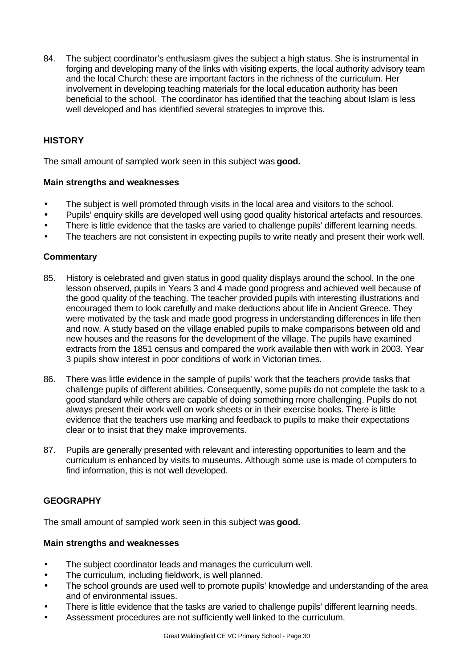84. The subject coordinator's enthusiasm gives the subject a high status. She is instrumental in forging and developing many of the links with visiting experts, the local authority advisory team and the local Church: these are important factors in the richness of the curriculum. Her involvement in developing teaching materials for the local education authority has been beneficial to the school. The coordinator has identified that the teaching about Islam is less well developed and has identified several strategies to improve this.

# **HISTORY**

The small amount of sampled work seen in this subject was **good.**

#### **Main strengths and weaknesses**

- The subject is well promoted through visits in the local area and visitors to the school.
- Pupils' enquiry skills are developed well using good quality historical artefacts and resources.
- There is little evidence that the tasks are varied to challenge pupils' different learning needs.
- The teachers are not consistent in expecting pupils to write neatly and present their work well.

## **Commentary**

- 85. History is celebrated and given status in good quality displays around the school. In the one lesson observed, pupils in Years 3 and 4 made good progress and achieved well because of the good quality of the teaching. The teacher provided pupils with interesting illustrations and encouraged them to look carefully and make deductions about life in Ancient Greece. They were motivated by the task and made good progress in understanding differences in life then and now. A study based on the village enabled pupils to make comparisons between old and new houses and the reasons for the development of the village. The pupils have examined extracts from the 1851 census and compared the work available then with work in 2003. Year 3 pupils show interest in poor conditions of work in Victorian times.
- 86. There was little evidence in the sample of pupils' work that the teachers provide tasks that challenge pupils of different abilities. Consequently, some pupils do not complete the task to a good standard while others are capable of doing something more challenging. Pupils do not always present their work well on work sheets or in their exercise books. There is little evidence that the teachers use marking and feedback to pupils to make their expectations clear or to insist that they make improvements.
- 87. Pupils are generally presented with relevant and interesting opportunities to learn and the curriculum is enhanced by visits to museums. Although some use is made of computers to find information, this is not well developed.

## **GEOGRAPHY**

The small amount of sampled work seen in this subject was **good.**

#### **Main strengths and weaknesses**

- The subject coordinator leads and manages the curriculum well.
- The curriculum, including fieldwork, is well planned.
- The school grounds are used well to promote pupils' knowledge and understanding of the area and of environmental issues.
- There is little evidence that the tasks are varied to challenge pupils' different learning needs.
- Assessment procedures are not sufficiently well linked to the curriculum.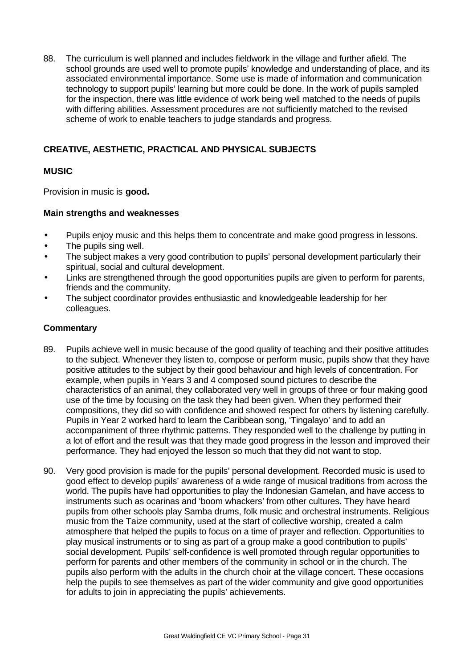88. The curriculum is well planned and includes fieldwork in the village and further afield. The school grounds are used well to promote pupils' knowledge and understanding of place, and its associated environmental importance. Some use is made of information and communication technology to support pupils' learning but more could be done. In the work of pupils sampled for the inspection, there was little evidence of work being well matched to the needs of pupils with differing abilities. Assessment procedures are not sufficiently matched to the revised scheme of work to enable teachers to judge standards and progress.

# **CREATIVE, AESTHETIC, PRACTICAL AND PHYSICAL SUBJECTS**

# **MUSIC**

Provision in music is **good.**

## **Main strengths and weaknesses**

- Pupils enjoy music and this helps them to concentrate and make good progress in lessons.
- The pupils sing well.
- The subject makes a very good contribution to pupils' personal development particularly their spiritual, social and cultural development.
- Links are strengthened through the good opportunities pupils are given to perform for parents, friends and the community.
- The subject coordinator provides enthusiastic and knowledgeable leadership for her colleagues.

- 89. Pupils achieve well in music because of the good quality of teaching and their positive attitudes to the subject. Whenever they listen to, compose or perform music, pupils show that they have positive attitudes to the subject by their good behaviour and high levels of concentration. For example, when pupils in Years 3 and 4 composed sound pictures to describe the characteristics of an animal, they collaborated very well in groups of three or four making good use of the time by focusing on the task they had been given. When they performed their compositions, they did so with confidence and showed respect for others by listening carefully. Pupils in Year 2 worked hard to learn the Caribbean song, 'Tingalayo' and to add an accompaniment of three rhythmic patterns. They responded well to the challenge by putting in a lot of effort and the result was that they made good progress in the lesson and improved their performance. They had enjoyed the lesson so much that they did not want to stop.
- 90. Very good provision is made for the pupils' personal development. Recorded music is used to good effect to develop pupils' awareness of a wide range of musical traditions from across the world. The pupils have had opportunities to play the Indonesian Gamelan, and have access to instruments such as ocarinas and 'boom whackers' from other cultures. They have heard pupils from other schools play Samba drums, folk music and orchestral instruments. Religious music from the Taize community, used at the start of collective worship, created a calm atmosphere that helped the pupils to focus on a time of prayer and reflection. Opportunities to play musical instruments or to sing as part of a group make a good contribution to pupils' social development. Pupils' self-confidence is well promoted through regular opportunities to perform for parents and other members of the community in school or in the church. The pupils also perform with the adults in the church choir at the village concert. These occasions help the pupils to see themselves as part of the wider community and give good opportunities for adults to join in appreciating the pupils' achievements.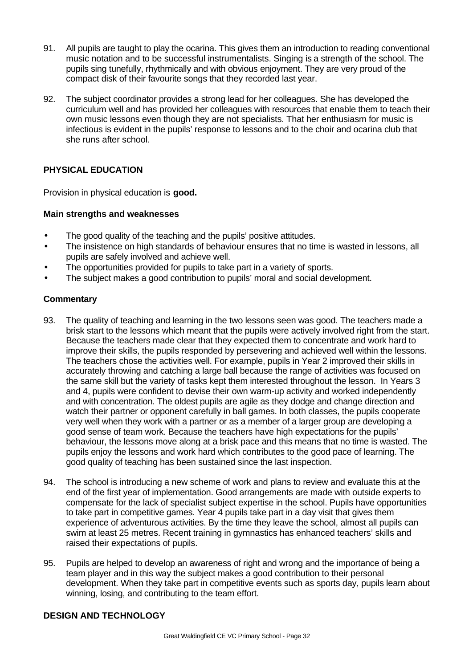- 91. All pupils are taught to play the ocarina. This gives them an introduction to reading conventional music notation and to be successful instrumentalists. Singing is a strength of the school. The pupils sing tunefully, rhythmically and with obvious enjoyment. They are very proud of the compact disk of their favourite songs that they recorded last year.
- 92. The subject coordinator provides a strong lead for her colleagues. She has developed the curriculum well and has provided her colleagues with resources that enable them to teach their own music lessons even though they are not specialists. That her enthusiasm for music is infectious is evident in the pupils' response to lessons and to the choir and ocarina club that she runs after school.

## **PHYSICAL EDUCATION**

Provision in physical education is **good.**

## **Main strengths and weaknesses**

- The good quality of the teaching and the pupils' positive attitudes.
- The insistence on high standards of behaviour ensures that no time is wasted in lessons, all pupils are safely involved and achieve well.
- The opportunities provided for pupils to take part in a variety of sports.
- The subject makes a good contribution to pupils' moral and social development.

## **Commentary**

- 93. The quality of teaching and learning in the two lessons seen was good. The teachers made a brisk start to the lessons which meant that the pupils were actively involved right from the start. Because the teachers made clear that they expected them to concentrate and work hard to improve their skills, the pupils responded by persevering and achieved well within the lessons. The teachers chose the activities well. For example, pupils in Year 2 improved their skills in accurately throwing and catching a large ball because the range of activities was focused on the same skill but the variety of tasks kept them interested throughout the lesson. In Years 3 and 4, pupils were confident to devise their own warm-up activity and worked independently and with concentration. The oldest pupils are agile as they dodge and change direction and watch their partner or opponent carefully in ball games. In both classes, the pupils cooperate very well when they work with a partner or as a member of a larger group are developing a good sense of team work. Because the teachers have high expectations for the pupils' behaviour, the lessons move along at a brisk pace and this means that no time is wasted. The pupils enjoy the lessons and work hard which contributes to the good pace of learning. The good quality of teaching has been sustained since the last inspection.
- 94. The school is introducing a new scheme of work and plans to review and evaluate this at the end of the first year of implementation. Good arrangements are made with outside experts to compensate for the lack of specialist subject expertise in the school. Pupils have opportunities to take part in competitive games. Year 4 pupils take part in a day visit that gives them experience of adventurous activities. By the time they leave the school, almost all pupils can swim at least 25 metres. Recent training in gymnastics has enhanced teachers' skills and raised their expectations of pupils.
- 95. Pupils are helped to develop an awareness of right and wrong and the importance of being a team player and in this way the subject makes a good contribution to their personal development. When they take part in competitive events such as sports day, pupils learn about winning, losing, and contributing to the team effort.

## **DESIGN AND TECHNOLOGY**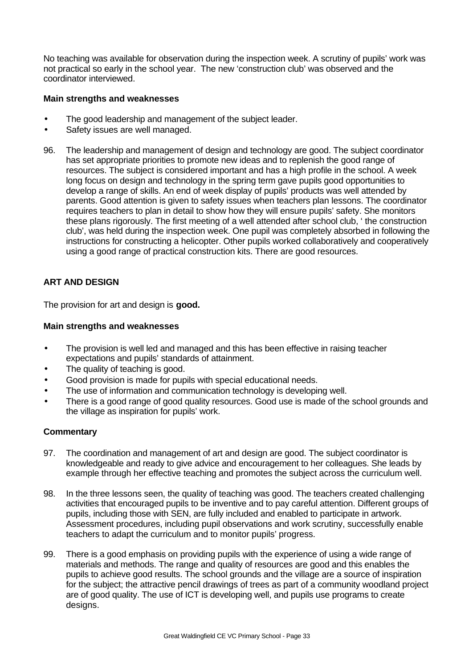No teaching was available for observation during the inspection week. A scrutiny of pupils' work was not practical so early in the school year. The new 'construction club' was observed and the coordinator interviewed.

## **Main strengths and weaknesses**

- The good leadership and management of the subject leader.
- Safety issues are well managed.
- 96. The leadership and management of design and technology are good. The subject coordinator has set appropriate priorities to promote new ideas and to replenish the good range of resources. The subject is considered important and has a high profile in the school. A week long focus on design and technology in the spring term gave pupils good opportunities to develop a range of skills. An end of week display of pupils' products was well attended by parents. Good attention is given to safety issues when teachers plan lessons. The coordinator requires teachers to plan in detail to show how they will ensure pupils' safety. She monitors these plans rigorously. The first meeting of a well attended after school club, ' the construction club', was held during the inspection week. One pupil was completely absorbed in following the instructions for constructing a helicopter. Other pupils worked collaboratively and cooperatively using a good range of practical construction kits. There are good resources.

## **ART AND DESIGN**

The provision for art and design is **good.**

## **Main strengths and weaknesses**

- The provision is well led and managed and this has been effective in raising teacher expectations and pupils' standards of attainment.
- The quality of teaching is good.
- Good provision is made for pupils with special educational needs.
- The use of information and communication technology is developing well.
- There is a good range of good quality resources. Good use is made of the school grounds and the village as inspiration for pupils' work.

- 97. The coordination and management of art and design are good. The subject coordinator is knowledgeable and ready to give advice and encouragement to her colleagues. She leads by example through her effective teaching and promotes the subject across the curriculum well.
- 98. In the three lessons seen, the quality of teaching was good. The teachers created challenging activities that encouraged pupils to be inventive and to pay careful attention. Different groups of pupils, including those with SEN, are fully included and enabled to participate in artwork. Assessment procedures, including pupil observations and work scrutiny, successfully enable teachers to adapt the curriculum and to monitor pupils' progress.
- 99. There is a good emphasis on providing pupils with the experience of using a wide range of materials and methods. The range and quality of resources are good and this enables the pupils to achieve good results. The school grounds and the village are a source of inspiration for the subject; the attractive pencil drawings of trees as part of a community woodland project are of good quality. The use of ICT is developing well, and pupils use programs to create designs.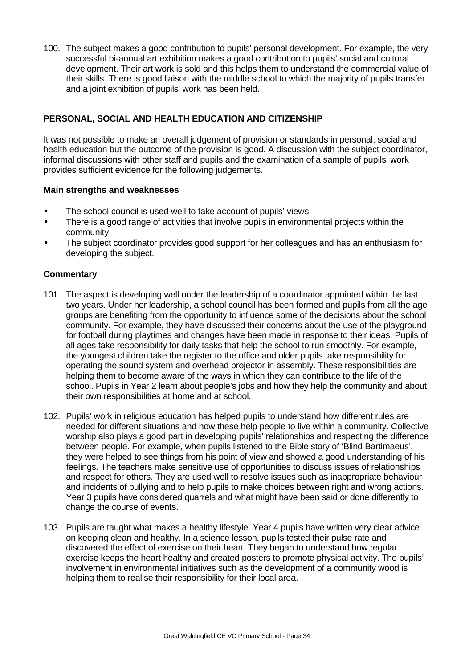100. The subject makes a good contribution to pupils' personal development. For example, the very successful bi-annual art exhibition makes a good contribution to pupils' social and cultural development. Their art work is sold and this helps them to understand the commercial value of their skills. There is good liaison with the middle school to which the majority of pupils transfer and a joint exhibition of pupils' work has been held.

## **PERSONAL, SOCIAL AND HEALTH EDUCATION AND CITIZENSHIP**

It was not possible to make an overall judgement of provision or standards in personal, social and health education but the outcome of the provision is good. A discussion with the subject coordinator, informal discussions with other staff and pupils and the examination of a sample of pupils' work provides sufficient evidence for the following judgements.

## **Main strengths and weaknesses**

- The school council is used well to take account of pupils' views.
- There is a good range of activities that involve pupils in environmental projects within the community.
- The subject coordinator provides good support for her colleagues and has an enthusiasm for developing the subject.

- 101. The aspect is developing well under the leadership of a coordinator appointed within the last two years. Under her leadership, a school council has been formed and pupils from all the age groups are benefiting from the opportunity to influence some of the decisions about the school community. For example, they have discussed their concerns about the use of the playground for football during playtimes and changes have been made in response to their ideas. Pupils of all ages take responsibility for daily tasks that help the school to run smoothly. For example, the youngest children take the register to the office and older pupils take responsibility for operating the sound system and overhead projector in assembly. These responsibilities are helping them to become aware of the ways in which they can contribute to the life of the school. Pupils in Year 2 learn about people's jobs and how they help the community and about their own responsibilities at home and at school.
- 102. Pupils' work in religious education has helped pupils to understand how different rules are needed for different situations and how these help people to live within a community. Collective worship also plays a good part in developing pupils' relationships and respecting the difference between people. For example, when pupils listened to the Bible story of 'Blind Bartimaeus', they were helped to see things from his point of view and showed a good understanding of his feelings. The teachers make sensitive use of opportunities to discuss issues of relationships and respect for others. They are used well to resolve issues such as inappropriate behaviour and incidents of bullying and to help pupils to make choices between right and wrong actions. Year 3 pupils have considered quarrels and what might have been said or done differently to change the course of events.
- 103. Pupils are taught what makes a healthy lifestyle. Year 4 pupils have written very clear advice on keeping clean and healthy. In a science lesson, pupils tested their pulse rate and discovered the effect of exercise on their heart. They began to understand how regular exercise keeps the heart healthy and created posters to promote physical activity. The pupils' involvement in environmental initiatives such as the development of a community wood is helping them to realise their responsibility for their local area.